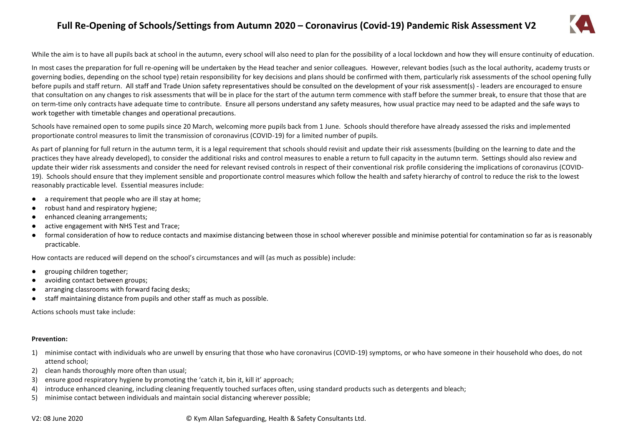# **Full Re-Opening of Schools/Settings from Autumn 2020 – Coronavirus (Covid-19) Pandemic Risk Assessment V2**



While the aim is to have all pupils back at school in the autumn, every school will also need to plan for the possibility of a local lockdown and how they will ensure continuity of education.

In most cases the preparation for full re-opening will be undertaken by the Head teacher and senior colleagues. However, relevant bodies (such as the local authority, academy trusts or governing bodies, depending on the school type) retain responsibility for key decisions and plans should be confirmed with them, particularly risk assessments of the school opening fully before pupils and staff return. All staff and Trade Union safety representatives should be consulted on the development of your risk assessment(s) - leaders are encouraged to ensure that consultation on any changes to risk assessments that will be in place for the start of the autumn term commence with staff before the summer break, to ensure that those that are on term-time only contracts have adequate time to contribute. Ensure all persons understand any safety measures, how usual practice may need to be adapted and the safe ways to work together with timetable changes and operational precautions.

Schools have remained open to some pupils since 20 March, welcoming more pupils back from 1 June. Schools should therefore have already assessed the risks and implemented proportionate control measures to limit the transmission of coronavirus (COVID-19) for a limited number of pupils.

As part of planning for full return in the autumn term, it is a legal requirement that schools should revisit and update their risk assessments (building on the learning to date and the practices they have already developed), to consider the additional risks and control measures to enable a return to full capacity in the autumn term. Settings should also review and update their wider risk assessments and consider the need for relevant revised controls in respect of their conventional risk profile considering the implications of coronavirus (COVID-19). Schools should ensure that they implement sensible and proportionate control measures which follow the health and safety hierarchy of control to reduce the risk to the lowest reasonably practicable level. Essential measures include:

- a requirement that people who are ill stay at home;
- robust hand and respiratory hygiene;
- enhanced cleaning arrangements:
- active engagement with NHS Test and Trace;
- formal consideration of how to reduce contacts and maximise distancing between those in school wherever possible and minimise potential for contamination so far as is reasonably practicable.

How contacts are reduced will depend on the school's circumstances and will (as much as possible) include:

- grouping children together;
- avoiding contact between groups;
- arranging classrooms with forward facing desks;
- staff maintaining distance from pupils and other staff as much as possible.

Actions schools must take include:

#### **Prevention:**

- 1) minimise contact with individuals who are unwell by ensuring that those who have coronavirus (COVID-19) symptoms, or who have someone in their household who does, do not attend school;
- 2) clean hands thoroughly more often than usual;
- 3) ensure good respiratory hygiene by promoting the 'catch it, bin it, kill it' approach;
- 4) introduce enhanced cleaning, including cleaning frequently touched surfaces often, using standard products such as detergents and bleach;
- 5) minimise contact between individuals and maintain social distancing wherever possible;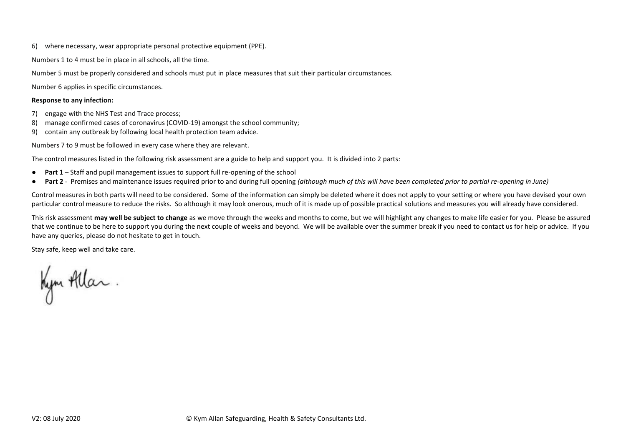6) where necessary, wear appropriate personal protective equipment (PPE).

Numbers 1 to 4 must be in place in all schools, all the time.

Number 5 must be properly considered and schools must put in place measures that suit their particular circumstances.

Number 6 applies in specific circumstances.

### **Response to any infection:**

- 7) engage with the NHS Test and Trace process;
- 8) manage confirmed cases of coronavirus (COVID-19) amongst the school community;
- 9) contain any outbreak by following local health protection team advice.

Numbers 7 to 9 must be followed in every case where they are relevant.

The control measures listed in the following risk assessment are a guide to help and support you. It is divided into 2 parts:

- **Part 1** Staff and pupil management issues to support full re-opening of the school
- **Part 2** Premises and maintenance issues required prior to and during full opening *(although much of this will have been completed prior to partial re-opening in June)*

Control measures in both parts will need to be considered. Some of the information can simply be deleted where it does not apply to your setting or where you have devised your own particular control measure to reduce the risks. So although it may look onerous, much of it is made up of possible practical solutions and measures you will already have considered.

This risk assessment **may well be subject to change** as we move through the weeks and months to come, but we will highlight any changes to make life easier for you. Please be assured that we continue to be here to support you during the next couple of weeks and beyond. We will be available over the summer break if you need to contact us for help or advice. If you have any queries, please do not hesitate to get in touch.

Stay safe, keep well and take care.

Kym Allar.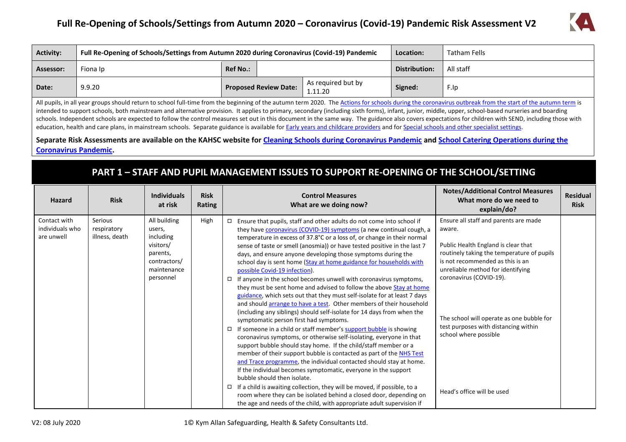# **Full Re-Opening of Schools/Settings from Autumn 2020 – Coronavirus (Covid-19) Pandemic Risk Assessment V2**



| <b>Activity:</b> | Full Re-Opening of Schools/Settings from Autumn 2020 during Coronavirus (Covid-19) Pandemic | Location:       | Tatham Fells                 |                               |               |           |
|------------------|---------------------------------------------------------------------------------------------|-----------------|------------------------------|-------------------------------|---------------|-----------|
| Assessor:        | Fiona Ip                                                                                    | <b>Ref No.:</b> |                              |                               | Distribution: | All staff |
| Date:            | 9.9.20                                                                                      |                 | <b>Proposed Review Date:</b> | As required but by<br>1.11.20 | Signed:       | F.Ip      |

All pupils, in all year groups should return to school full-time from the beginning of the autumn term 2020. Th[e Actions for schools during the coronavirus outbreak from the start of the autumn term](https://www.gov.uk/government/publications/actions-for-schools-during-the-coronavirus-outbreak/guidance-for-full-opening-schools) is intended to support schools, both mainstream and alternative provision. It applies to primary, secondary (including sixth forms), infant, junior, middle, upper, school-based nurseries and boarding schools. Independent schools are expected to follow the control measures set out in this document in the same way. The guidance also covers expectations for children with SEND, including those with education, health and care plans, in mainstream schools. Separate guidance is available fo[r Early years and childcare providers](https://www.gov.uk/government/publications/coronavirus-covid-19-early-years-and-childcare-closures/coronavirus-covid-19-early-years-and-childcare-closures) and fo[r Special schools and other specialist settings.](https://www.gov.uk/government/publications/guidance-for-full-opening-special-schools-and-other-specialist-settings?utm_source=02a881e2-265a-4b6d-a67d-38470d12440a&utm_medium=email&utm_campaign=govuk-notifications&utm_content=immediate)

**Separate Risk Assessments are available on the KAHSC website for [Cleaning Schools during Coronavirus Pandemic](https://www.kymallanhsc.co.uk/Document/DownloadDocument/9608) an[d School Catering Operations during the](https://www.kymallanhsc.co.uk/Document/DownloadDocument/9790)  [Coronavirus Pandemic.](https://www.kymallanhsc.co.uk/Document/DownloadDocument/9790)**

### **PART 1 – STAFF AND PUPIL MANAGEMENT ISSUES TO SUPPORT RE-OPENING OF THE SCHOOL/SETTING**

| Hazard                                        | <b>Risk</b>                              | <b>Individuals</b><br>at risk                                                                            | <b>Risk</b><br>Rating | <b>Control Measures</b><br>What are we doing now?                                                                                                                                                                                                                                                                                                                                                                                                                                                                                                                                                                                                                                                                                                                                                                                                                                                                                                                                                                                                                                                                                                                                                                                                                                                                                                                                  | <b>Notes/Additional Control Measures</b><br>What more do we need to<br>explain/do?                                                                                                                                                                                                                                                                     | <b>Residual</b><br><b>Risk</b> |
|-----------------------------------------------|------------------------------------------|----------------------------------------------------------------------------------------------------------|-----------------------|------------------------------------------------------------------------------------------------------------------------------------------------------------------------------------------------------------------------------------------------------------------------------------------------------------------------------------------------------------------------------------------------------------------------------------------------------------------------------------------------------------------------------------------------------------------------------------------------------------------------------------------------------------------------------------------------------------------------------------------------------------------------------------------------------------------------------------------------------------------------------------------------------------------------------------------------------------------------------------------------------------------------------------------------------------------------------------------------------------------------------------------------------------------------------------------------------------------------------------------------------------------------------------------------------------------------------------------------------------------------------------|--------------------------------------------------------------------------------------------------------------------------------------------------------------------------------------------------------------------------------------------------------------------------------------------------------------------------------------------------------|--------------------------------|
| Contact with<br>individuals who<br>are unwell | Serious<br>respiratory<br>illness, death | All building<br>users,<br>including<br>visitors/<br>parents,<br>contractors/<br>maintenance<br>personnel | High                  | Ensure that pupils, staff and other adults do not come into school if<br>$\Box$<br>they have coronavirus (COVID-19) symptoms (a new continual cough, a<br>temperature in excess of 37.8°C or a loss of, or change in their normal<br>sense of taste or smell (anosmia)) or have tested positive in the last 7<br>days, and ensure anyone developing those symptoms during the<br>school day is sent home (Stay at home guidance for households with<br>possible Covid-19 infection).<br>$\Box$ If anyone in the school becomes unwell with coronavirus symptoms,<br>they must be sent home and advised to follow the above Stay at home<br>guidance, which sets out that they must self-isolate for at least 7 days<br>and should arrange to have a test. Other members of their household<br>(including any siblings) should self-isolate for 14 days from when the<br>symptomatic person first had symptoms.<br>$\Box$ If someone in a child or staff member's support bubble is showing<br>coronavirus symptoms, or otherwise self-isolating, everyone in that<br>support bubble should stay home. If the child/staff member or a<br>member of their support bubble is contacted as part of the NHS Test<br>and Trace programme, the individual contacted should stay at home.<br>If the individual becomes symptomatic, everyone in the support<br>bubble should then isolate. | Ensure all staff and parents are made<br>aware.<br>Public Health England is clear that<br>routinely taking the temperature of pupils<br>is not recommended as this is an<br>unreliable method for identifying<br>coronavirus (COVID-19).<br>The school will operate as one bubble for<br>test purposes with distancing within<br>school where possible |                                |
|                                               |                                          |                                                                                                          |                       | $\Box$ If a child is awaiting collection, they will be moved, if possible, to a<br>room where they can be isolated behind a closed door, depending on<br>the age and needs of the child, with appropriate adult supervision if                                                                                                                                                                                                                                                                                                                                                                                                                                                                                                                                                                                                                                                                                                                                                                                                                                                                                                                                                                                                                                                                                                                                                     | Head's office will be used                                                                                                                                                                                                                                                                                                                             |                                |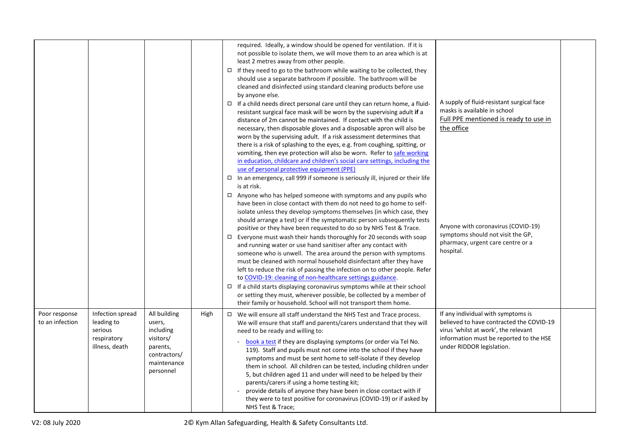|                                  |                                                                            |                                                                                                          |      | required. Ideally, a window should be opened for ventilation. If it is<br>not possible to isolate them, we will move them to an area which is at<br>least 2 metres away from other people.<br>$\Box$ If they need to go to the bathroom while waiting to be collected, they<br>should use a separate bathroom if possible. The bathroom will be<br>cleaned and disinfected using standard cleaning products before use<br>by anyone else.<br>$\Box$ If a child needs direct personal care until they can return home, a fluid-<br>resistant surgical face mask will be worn by the supervising adult if a<br>distance of 2m cannot be maintained. If contact with the child is<br>necessary, then disposable gloves and a disposable apron will also be<br>worn by the supervising adult. If a risk assessment determines that<br>there is a risk of splashing to the eyes, e.g. from coughing, spitting, or<br>vomiting, then eye protection will also be worn. Refer to safe working<br>in education, childcare and children's social care settings, including the<br>use of personal protective equipment (PPE)                      | A supply of fluid-resistant surgical face<br>masks is available in school<br>Full PPE mentioned is ready to use in<br>the office                                                               |  |
|----------------------------------|----------------------------------------------------------------------------|----------------------------------------------------------------------------------------------------------|------|-----------------------------------------------------------------------------------------------------------------------------------------------------------------------------------------------------------------------------------------------------------------------------------------------------------------------------------------------------------------------------------------------------------------------------------------------------------------------------------------------------------------------------------------------------------------------------------------------------------------------------------------------------------------------------------------------------------------------------------------------------------------------------------------------------------------------------------------------------------------------------------------------------------------------------------------------------------------------------------------------------------------------------------------------------------------------------------------------------------------------------------------|------------------------------------------------------------------------------------------------------------------------------------------------------------------------------------------------|--|
|                                  |                                                                            |                                                                                                          |      | □ In an emergency, call 999 if someone is seriously ill, injured or their life<br>is at risk.<br>$\Box$ Anyone who has helped someone with symptoms and any pupils who<br>have been in close contact with them do not need to go home to self-<br>isolate unless they develop symptoms themselves (in which case, they<br>should arrange a test) or if the symptomatic person subsequently tests<br>positive or they have been requested to do so by NHS Test & Trace.<br>$\Box$ Everyone must wash their hands thoroughly for 20 seconds with soap<br>and running water or use hand sanitiser after any contact with<br>someone who is unwell. The area around the person with symptoms<br>must be cleaned with normal household disinfectant after they have<br>left to reduce the risk of passing the infection on to other people. Refer<br>to COVID-19: cleaning of non-healthcare settings guidance.<br>$\Box$ If a child starts displaying coronavirus symptoms while at their school<br>or setting they must, wherever possible, be collected by a member of<br>their family or household. School will not transport them home. | Anyone with coronavirus (COVID-19)<br>symptoms should not visit the GP,<br>pharmacy, urgent care centre or a<br>hospital.                                                                      |  |
| Poor response<br>to an infection | Infection spread<br>leading to<br>serious<br>respiratory<br>illness, death | All building<br>users,<br>including<br>visitors/<br>parents,<br>contractors/<br>maintenance<br>personnel | High | $\Box$ We will ensure all staff understand the NHS Test and Trace process.<br>We will ensure that staff and parents/carers understand that they will<br>need to be ready and willing to:<br>book a test if they are displaying symptoms (or order via Tel No.<br>119). Staff and pupils must not come into the school if they have<br>symptoms and must be sent home to self-isolate if they develop<br>them in school. All children can be tested, including children under<br>5, but children aged 11 and under will need to be helped by their<br>parents/carers if using a home testing kit;<br>provide details of anyone they have been in close contact with if<br>they were to test positive for coronavirus (COVID-19) or if asked by<br>NHS Test & Trace;                                                                                                                                                                                                                                                                                                                                                                      | If any individual with symptoms is<br>believed to have contracted the COVID-19<br>virus 'whilst at work', the relevant<br>information must be reported to the HSE<br>under RIDDOR legislation. |  |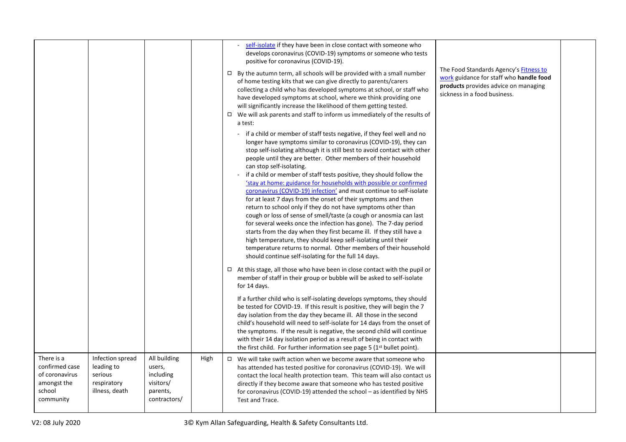|                                                                                      |                                                                            |                                                                              |      | self-isolate if they have been in close contact with someone who<br>develops coronavirus (COVID-19) symptoms or someone who tests<br>positive for coronavirus (COVID-19).<br>The Food Standards Agency's Fitness to<br>$\Box$ By the autumn term, all schools will be provided with a small number<br>work guidance for staff who handle food<br>of home testing kits that we can give directly to parents/carers<br>products provides advice on managing<br>collecting a child who has developed symptoms at school, or staff who<br>sickness in a food business.<br>have developed symptoms at school, where we think providing one<br>will significantly increase the likelihood of them getting tested.<br>$\Box$ We will ask parents and staff to inform us immediately of the results of<br>a test:<br>- if a child or member of staff tests negative, if they feel well and no<br>longer have symptoms similar to coronavirus (COVID-19), they can<br>stop self-isolating although it is still best to avoid contact with other<br>people until they are better. Other members of their household<br>can stop self-isolating.<br>- if a child or member of staff tests positive, they should follow the<br>'stay at home: guidance for households with possible or confirmed<br>coronavirus (COVID-19) infection' and must continue to self-isolate<br>for at least 7 days from the onset of their symptoms and then<br>return to school only if they do not have symptoms other than<br>cough or loss of sense of smell/taste (a cough or anosmia can last<br>for several weeks once the infection has gone). The 7-day period<br>starts from the day when they first became ill. If they still have a<br>high temperature, they should keep self-isolating until their<br>temperature returns to normal. Other members of their household<br>should continue self-isolating for the full 14 days.<br>$\Box$ At this stage, all those who have been in close contact with the pupil or<br>member of staff in their group or bubble will be asked to self-isolate<br>for 14 days.<br>If a further child who is self-isolating develops symptoms, they should<br>be tested for COVID-19. If this result is positive, they will begin the 7<br>day isolation from the day they became ill. All those in the second |  |
|--------------------------------------------------------------------------------------|----------------------------------------------------------------------------|------------------------------------------------------------------------------|------|-------------------------------------------------------------------------------------------------------------------------------------------------------------------------------------------------------------------------------------------------------------------------------------------------------------------------------------------------------------------------------------------------------------------------------------------------------------------------------------------------------------------------------------------------------------------------------------------------------------------------------------------------------------------------------------------------------------------------------------------------------------------------------------------------------------------------------------------------------------------------------------------------------------------------------------------------------------------------------------------------------------------------------------------------------------------------------------------------------------------------------------------------------------------------------------------------------------------------------------------------------------------------------------------------------------------------------------------------------------------------------------------------------------------------------------------------------------------------------------------------------------------------------------------------------------------------------------------------------------------------------------------------------------------------------------------------------------------------------------------------------------------------------------------------------------------------------------------------------------------------------------------------------------------------------------------------------------------------------------------------------------------------------------------------------------------------------------------------------------------------------------------------------------------------------------------------------------------------------------------------------------------------------------------------------------------------|--|
|                                                                                      |                                                                            |                                                                              |      | child's household will need to self-isolate for 14 days from the onset of<br>the symptoms. If the result is negative, the second child will continue<br>with their 14 day isolation period as a result of being in contact with<br>the first child. For further information see page 5 (1 <sup>st</sup> bullet point).                                                                                                                                                                                                                                                                                                                                                                                                                                                                                                                                                                                                                                                                                                                                                                                                                                                                                                                                                                                                                                                                                                                                                                                                                                                                                                                                                                                                                                                                                                                                                                                                                                                                                                                                                                                                                                                                                                                                                                                                  |  |
| There is a<br>confirmed case<br>of coronavirus<br>amongst the<br>school<br>community | Infection spread<br>leading to<br>serious<br>respiratory<br>illness, death | All building<br>users,<br>including<br>visitors/<br>parents,<br>contractors/ | High | $\Box$ We will take swift action when we become aware that someone who<br>has attended has tested positive for coronavirus (COVID-19). We will<br>contact the local health protection team. This team will also contact us<br>directly if they become aware that someone who has tested positive<br>for coronavirus (COVID-19) attended the school - as identified by NHS<br>Test and Trace.                                                                                                                                                                                                                                                                                                                                                                                                                                                                                                                                                                                                                                                                                                                                                                                                                                                                                                                                                                                                                                                                                                                                                                                                                                                                                                                                                                                                                                                                                                                                                                                                                                                                                                                                                                                                                                                                                                                            |  |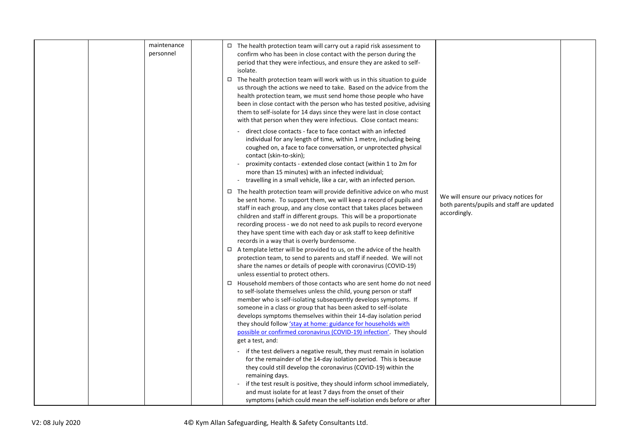|  | maintenance<br>personnel | $\Box$ The health protection team will carry out a rapid risk assessment to<br>confirm who has been in close contact with the person during the<br>period that they were infectious, and ensure they are asked to self-<br>isolate.<br>$\Box$ The health protection team will work with us in this situation to guide<br>us through the actions we need to take. Based on the advice from the<br>health protection team, we must send home those people who have<br>been in close contact with the person who has tested positive, advising<br>them to self-isolate for 14 days since they were last in close contact<br>with that person when they were infectious. Close contact means:                                                                     |
|--|--------------------------|---------------------------------------------------------------------------------------------------------------------------------------------------------------------------------------------------------------------------------------------------------------------------------------------------------------------------------------------------------------------------------------------------------------------------------------------------------------------------------------------------------------------------------------------------------------------------------------------------------------------------------------------------------------------------------------------------------------------------------------------------------------|
|  |                          | direct close contacts - face to face contact with an infected<br>individual for any length of time, within 1 metre, including being<br>coughed on, a face to face conversation, or unprotected physical<br>contact (skin-to-skin);<br>proximity contacts - extended close contact (within 1 to 2m for<br>more than 15 minutes) with an infected individual;<br>travelling in a small vehicle, like a car, with an infected person.                                                                                                                                                                                                                                                                                                                            |
|  |                          | $\Box$ The health protection team will provide definitive advice on who must<br>We will ensure our privacy notices for<br>be sent home. To support them, we will keep a record of pupils and<br>both parents/pupils and staff are updated<br>staff in each group, and any close contact that takes places between<br>accordingly.<br>children and staff in different groups. This will be a proportionate<br>recording process - we do not need to ask pupils to record everyone<br>they have spent time with each day or ask staff to keep definitive<br>records in a way that is overly burdensome.<br>$\Box$ A template letter will be provided to us, on the advice of the health<br>protection team, to send to parents and staff if needed. We will not |
|  |                          | share the names or details of people with coronavirus (COVID-19)<br>unless essential to protect others.<br>$\Box$ Household members of those contacts who are sent home do not need<br>to self-isolate themselves unless the child, young person or staff<br>member who is self-isolating subsequently develops symptoms. If<br>someone in a class or group that has been asked to self-isolate<br>develops symptoms themselves within their 14-day isolation period<br>they should follow 'stay at home: guidance for households with<br>possible or confirmed coronavirus (COVID-19) infection'. They should<br>get a test, and:                                                                                                                            |
|  |                          | - if the test delivers a negative result, they must remain in isolation<br>for the remainder of the 14-day isolation period. This is because<br>they could still develop the coronavirus (COVID-19) within the<br>remaining days.<br>if the test result is positive, they should inform school immediately,<br>and must isolate for at least 7 days from the onset of their<br>symptoms (which could mean the self-isolation ends before or after                                                                                                                                                                                                                                                                                                             |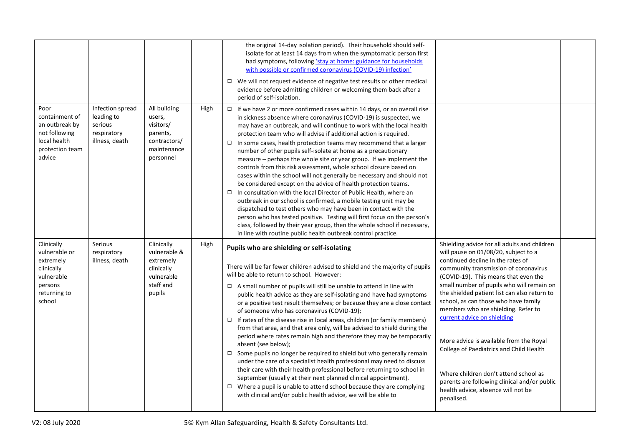|                                                                                                           |                                                                            |                                                                                             |      | the original 14-day isolation period). Their household should self-<br>isolate for at least 14 days from when the symptomatic person first<br>had symptoms, following 'stay at home: guidance for households<br>with possible or confirmed coronavirus (COVID-19) infection'<br>$\Box$ We will not request evidence of negative test results or other medical<br>evidence before admitting children or welcoming them back after a<br>period of self-isolation.                                                                                                                                                                                                                                                                                                                                                                                                                                                                                                                                                                                                                                                                                                                        |                                                                                                                                                                                                                                                                                                                                                                                                                                                                                                                                                                                                                                                          |  |
|-----------------------------------------------------------------------------------------------------------|----------------------------------------------------------------------------|---------------------------------------------------------------------------------------------|------|----------------------------------------------------------------------------------------------------------------------------------------------------------------------------------------------------------------------------------------------------------------------------------------------------------------------------------------------------------------------------------------------------------------------------------------------------------------------------------------------------------------------------------------------------------------------------------------------------------------------------------------------------------------------------------------------------------------------------------------------------------------------------------------------------------------------------------------------------------------------------------------------------------------------------------------------------------------------------------------------------------------------------------------------------------------------------------------------------------------------------------------------------------------------------------------|----------------------------------------------------------------------------------------------------------------------------------------------------------------------------------------------------------------------------------------------------------------------------------------------------------------------------------------------------------------------------------------------------------------------------------------------------------------------------------------------------------------------------------------------------------------------------------------------------------------------------------------------------------|--|
| Poor<br>containment of<br>an outbreak by<br>not following<br>local health<br>protection team<br>advice    | Infection spread<br>leading to<br>serious<br>respiratory<br>illness, death | All building<br>users,<br>visitors/<br>parents,<br>contractors/<br>maintenance<br>personnel | High | $\Box$ If we have 2 or more confirmed cases within 14 days, or an overall rise<br>in sickness absence where coronavirus (COVID-19) is suspected, we<br>may have an outbreak, and will continue to work with the local health<br>protection team who will advise if additional action is required.<br>$\Box$ In some cases, health protection teams may recommend that a larger<br>number of other pupils self-isolate at home as a precautionary<br>measure – perhaps the whole site or year group. If we implement the<br>controls from this risk assessment, whole school closure based on<br>cases within the school will not generally be necessary and should not<br>be considered except on the advice of health protection teams.<br>$\Box$ In consultation with the local Director of Public Health, where an<br>outbreak in our school is confirmed, a mobile testing unit may be<br>dispatched to test others who may have been in contact with the<br>person who has tested positive. Testing will first focus on the person's<br>class, followed by their year group, then the whole school if necessary,<br>in line with routine public health outbreak control practice. |                                                                                                                                                                                                                                                                                                                                                                                                                                                                                                                                                                                                                                                          |  |
| Clinically<br>vulnerable or<br>extremely<br>clinically<br>vulnerable<br>persons<br>returning to<br>school | Serious<br>respiratory<br>illness, death                                   | Clinically<br>vulnerable &<br>extremely<br>clinically<br>vulnerable<br>staff and<br>pupils  | High | Pupils who are shielding or self-isolating<br>There will be far fewer children advised to shield and the majority of pupils<br>will be able to return to school. However:<br>$\Box$ A small number of pupils will still be unable to attend in line with<br>public health advice as they are self-isolating and have had symptoms<br>or a positive test result themselves; or because they are a close contact<br>of someone who has coronavirus (COVID-19);<br>$\Box$ If rates of the disease rise in local areas, children (or family members)<br>from that area, and that area only, will be advised to shield during the<br>period where rates remain high and therefore they may be temporarily<br>absent (see below);<br>$\Box$ Some pupils no longer be required to shield but who generally remain<br>under the care of a specialist health professional may need to discuss<br>their care with their health professional before returning to school in<br>September (usually at their next planned clinical appointment).<br>$\Box$ Where a pupil is unable to attend school because they are complying<br>with clinical and/or public health advice, we will be able to      | Shielding advice for all adults and children<br>will pause on 01/08/20, subject to a<br>continued decline in the rates of<br>community transmission of coronavirus<br>(COVID-19). This means that even the<br>small number of pupils who will remain on<br>the shielded patient list can also return to<br>school, as can those who have family<br>members who are shielding. Refer to<br>current advice on shielding<br>More advice is available from the Royal<br>College of Paediatrics and Child Health<br>Where children don't attend school as<br>parents are following clinical and/or public<br>health advice, absence will not be<br>penalised. |  |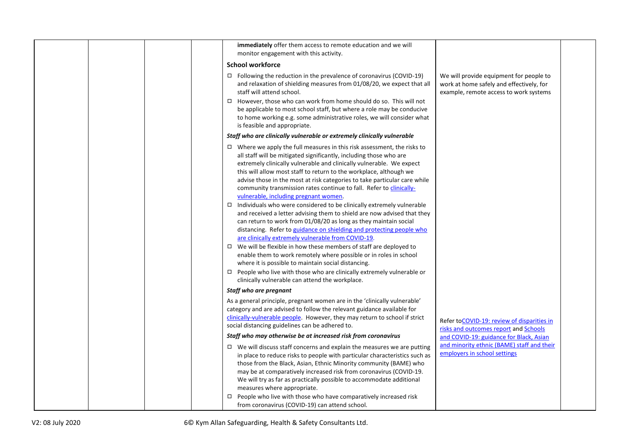| immediately offer them access to remote education and we will<br>monitor engagement with this activity.                                                                                                                                                                                                                                                                                                                                                                                                                                                                                                                                                                                                                                                                                                                                                                                                                                                                                                                                                                                                                                                    |                                                                                                                               |
|------------------------------------------------------------------------------------------------------------------------------------------------------------------------------------------------------------------------------------------------------------------------------------------------------------------------------------------------------------------------------------------------------------------------------------------------------------------------------------------------------------------------------------------------------------------------------------------------------------------------------------------------------------------------------------------------------------------------------------------------------------------------------------------------------------------------------------------------------------------------------------------------------------------------------------------------------------------------------------------------------------------------------------------------------------------------------------------------------------------------------------------------------------|-------------------------------------------------------------------------------------------------------------------------------|
| <b>School workforce</b>                                                                                                                                                                                                                                                                                                                                                                                                                                                                                                                                                                                                                                                                                                                                                                                                                                                                                                                                                                                                                                                                                                                                    |                                                                                                                               |
| $\Box$ Following the reduction in the prevalence of coronavirus (COVID-19)<br>and relaxation of shielding measures from 01/08/20, we expect that all<br>staff will attend school.                                                                                                                                                                                                                                                                                                                                                                                                                                                                                                                                                                                                                                                                                                                                                                                                                                                                                                                                                                          | We will provide equipment for people to<br>work at home safely and effectively, for<br>example, remote access to work systems |
| $\Box$ However, those who can work from home should do so. This will not<br>be applicable to most school staff, but where a role may be conducive<br>to home working e.g. some administrative roles, we will consider what<br>is feasible and appropriate.                                                                                                                                                                                                                                                                                                                                                                                                                                                                                                                                                                                                                                                                                                                                                                                                                                                                                                 |                                                                                                                               |
| Staff who are clinically vulnerable or extremely clinically vulnerable                                                                                                                                                                                                                                                                                                                                                                                                                                                                                                                                                                                                                                                                                                                                                                                                                                                                                                                                                                                                                                                                                     |                                                                                                                               |
| $\Box$ Where we apply the full measures in this risk assessment, the risks to<br>all staff will be mitigated significantly, including those who are<br>extremely clinically vulnerable and clinically vulnerable. We expect<br>this will allow most staff to return to the workplace, although we<br>advise those in the most at risk categories to take particular care while<br>community transmission rates continue to fall. Refer to <i>clinically-</i><br>vulnerable, including pregnant women.<br>$\Box$ Individuals who were considered to be clinically extremely vulnerable<br>and received a letter advising them to shield are now advised that they<br>can return to work from 01/08/20 as long as they maintain social<br>distancing. Refer to guidance on shielding and protecting people who<br>are clinically extremely vulnerable from COVID-19.<br>$\Box$ We will be flexible in how these members of staff are deployed to<br>enable them to work remotely where possible or in roles in school<br>where it is possible to maintain social distancing.<br>$\Box$ People who live with those who are clinically extremely vulnerable or |                                                                                                                               |
| clinically vulnerable can attend the workplace.                                                                                                                                                                                                                                                                                                                                                                                                                                                                                                                                                                                                                                                                                                                                                                                                                                                                                                                                                                                                                                                                                                            |                                                                                                                               |
| Staff who are pregnant                                                                                                                                                                                                                                                                                                                                                                                                                                                                                                                                                                                                                                                                                                                                                                                                                                                                                                                                                                                                                                                                                                                                     |                                                                                                                               |
| As a general principle, pregnant women are in the 'clinically vulnerable'<br>category and are advised to follow the relevant guidance available for<br>clinically-vulnerable people. However, they may return to school if strict<br>social distancing guidelines can be adhered to.                                                                                                                                                                                                                                                                                                                                                                                                                                                                                                                                                                                                                                                                                                                                                                                                                                                                       | Refer toCOVID-19: review of disparities in<br>risks and outcomes report and Schools                                           |
| Staff who may otherwise be at increased risk from coronavirus                                                                                                                                                                                                                                                                                                                                                                                                                                                                                                                                                                                                                                                                                                                                                                                                                                                                                                                                                                                                                                                                                              | and COVID-19: guidance for Black, Asian                                                                                       |
| $\Box$ We will discuss staff concerns and explain the measures we are putting<br>in place to reduce risks to people with particular characteristics such as<br>those from the Black, Asian, Ethnic Minority community (BAME) who<br>may be at comparatively increased risk from coronavirus (COVID-19.<br>We will try as far as practically possible to accommodate additional<br>measures where appropriate.<br>People who live with those who have comparatively increased risk<br>$\Box$<br>from coronavirus (COVID-19) can attend school.                                                                                                                                                                                                                                                                                                                                                                                                                                                                                                                                                                                                              | and minority ethnic (BAME) staff and their<br>employers in school settings                                                    |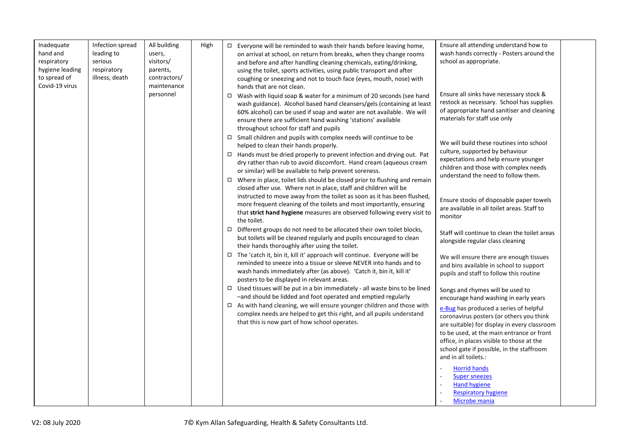| Inadequate<br>hand and<br>respiratory<br>hygiene leading<br>to spread of<br>Covid-19 virus | Infection spread<br>leading to<br>serious<br>respiratory<br>illness, death | All building<br>users,<br>visitors/<br>parents,<br>contractors/<br>maintenance | High | Ensure all attending understand how to<br>$\Box$ Everyone will be reminded to wash their hands before leaving home,<br>wash hands correctly - Posters around the<br>on arrival at school, on return from breaks, when they change rooms<br>school as appropriate.<br>and before and after handling cleaning chemicals, eating/drinking,<br>using the toilet, sports activities, using public transport and after<br>coughing or sneezing and not to touch face (eyes, mouth, nose) with<br>hands that are not clean.                                                                                                                                                                             |
|--------------------------------------------------------------------------------------------|----------------------------------------------------------------------------|--------------------------------------------------------------------------------|------|--------------------------------------------------------------------------------------------------------------------------------------------------------------------------------------------------------------------------------------------------------------------------------------------------------------------------------------------------------------------------------------------------------------------------------------------------------------------------------------------------------------------------------------------------------------------------------------------------------------------------------------------------------------------------------------------------|
|                                                                                            |                                                                            | personnel                                                                      |      | Ensure all sinks have necessary stock &<br>Wash with liquid soap & water for a minimum of 20 seconds (see hand<br>$\Box$<br>restock as necessary. School has supplies<br>wash guidance). Alcohol based hand cleansers/gels (containing at least<br>of appropriate hand sanitiser and cleaning<br>60% alcohol) can be used if soap and water are not available. We will<br>materials for staff use only<br>ensure there are sufficient hand washing 'stations' available<br>throughout school for staff and pupils                                                                                                                                                                                |
|                                                                                            |                                                                            |                                                                                |      | $\Box$ Small children and pupils with complex needs will continue to be<br>We will build these routines into school<br>helped to clean their hands properly.<br>culture, supported by behaviour<br>$\Box$ Hands must be dried properly to prevent infection and drying out. Pat<br>expectations and help ensure younger<br>dry rather than rub to avoid discomfort. Hand cream (aqueous cream<br>children and those with complex needs<br>or similar) will be available to help prevent soreness.<br>understand the need to follow them.<br>$\Box$ Where in place, toilet lids should be closed prior to flushing and remain<br>closed after use. Where not in place, staff and children will be |
|                                                                                            |                                                                            |                                                                                |      | instructed to move away from the toilet as soon as it has been flushed,<br>Ensure stocks of disposable paper towels<br>more frequent cleaning of the toilets and most importantly, ensuring<br>are available in all toilet areas. Staff to<br>that strict hand hygiene measures are observed following every visit to<br>monitor<br>the toilet.                                                                                                                                                                                                                                                                                                                                                  |
|                                                                                            |                                                                            |                                                                                |      | $\Box$ Different groups do not need to be allocated their own toilet blocks,<br>Staff will continue to clean the toilet areas<br>but toilets will be cleaned regularly and pupils encouraged to clean<br>alongside regular class cleaning<br>their hands thoroughly after using the toilet.                                                                                                                                                                                                                                                                                                                                                                                                      |
|                                                                                            |                                                                            |                                                                                |      | □ The 'catch it, bin it, kill it' approach will continue. Everyone will be<br>We will ensure there are enough tissues<br>reminded to sneeze into a tissue or sleeve NEVER into hands and to<br>and bins available in school to support<br>wash hands immediately after (as above). 'Catch it, bin it, kill it'<br>pupils and staff to follow this routine<br>posters to be displayed in relevant areas.                                                                                                                                                                                                                                                                                          |
|                                                                                            |                                                                            |                                                                                |      | $\Box$ Used tissues will be put in a bin immediately - all waste bins to be lined<br>Songs and rhymes will be used to<br>-and should be lidded and foot operated and emptied regularly<br>encourage hand washing in early years                                                                                                                                                                                                                                                                                                                                                                                                                                                                  |
|                                                                                            |                                                                            |                                                                                |      | $\Box$ As with hand cleaning, we will ensure younger children and those with<br>e-Bug has produced a series of helpful<br>complex needs are helped to get this right, and all pupils understand<br>coronavirus posters (or others you think<br>that this is now part of how school operates.<br>are suitable) for display in every classroom<br>to be used, at the main entrance or front<br>office, in places visible to those at the<br>school gate if possible, in the staffroom<br>and in all toilets.:                                                                                                                                                                                      |
|                                                                                            |                                                                            |                                                                                |      | <b>Horrid hands</b><br><b>Super sneezes</b><br><b>Hand hygiene</b><br><b>Respiratory hygiene</b><br>Microbe mania                                                                                                                                                                                                                                                                                                                                                                                                                                                                                                                                                                                |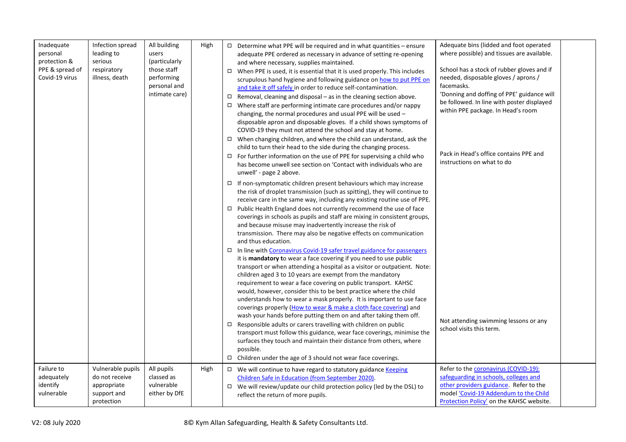| Inadequate<br>personal<br>protection &<br>PPE & spread of<br>Covid-19 virus | Infection spread<br>leading to<br>serious<br>respiratory<br>illness, death      | All building<br>users<br>(particularly<br>those staff<br>performing<br>personal and<br>intimate care) | High | $\Box$ Determine what PPE will be required and in what quantities - ensure<br>adequate PPE ordered as necessary in advance of setting re-opening<br>and where necessary, supplies maintained.<br>$\Box$ When PPE is used, it is essential that it is used properly. This includes<br>scrupulous hand hygiene and following guidance on how to put PPE on<br>and take it off safely in order to reduce self-contamination.<br>$\Box$ Removal, cleaning and disposal – as in the cleaning section above.<br>$\Box$ Where staff are performing intimate care procedures and/or nappy<br>changing, the normal procedures and usual PPE will be used -<br>disposable apron and disposable gloves. If a child shows symptoms of<br>COVID-19 they must not attend the school and stay at home.                                                    | Adequate bins (lidded and foot operated<br>where possible) and tissues are available.<br>School has a stock of rubber gloves and if<br>needed, disposable gloves / aprons /<br>facemasks.<br>'Donning and doffing of PPE' guidance will<br>be followed. In line with poster displayed<br>within PPE package. In Head's room |
|-----------------------------------------------------------------------------|---------------------------------------------------------------------------------|-------------------------------------------------------------------------------------------------------|------|--------------------------------------------------------------------------------------------------------------------------------------------------------------------------------------------------------------------------------------------------------------------------------------------------------------------------------------------------------------------------------------------------------------------------------------------------------------------------------------------------------------------------------------------------------------------------------------------------------------------------------------------------------------------------------------------------------------------------------------------------------------------------------------------------------------------------------------------|-----------------------------------------------------------------------------------------------------------------------------------------------------------------------------------------------------------------------------------------------------------------------------------------------------------------------------|
|                                                                             |                                                                                 |                                                                                                       |      | $\Box$ When changing children, and where the child can understand, ask the<br>child to turn their head to the side during the changing process.<br>$\Box$ For further information on the use of PPE for supervising a child who<br>has become unwell see section on 'Contact with individuals who are<br>unwell' - page 2 above.                                                                                                                                                                                                                                                                                                                                                                                                                                                                                                           | Pack in Head's office contains PPE and<br>instructions on what to do                                                                                                                                                                                                                                                        |
|                                                                             |                                                                                 |                                                                                                       |      | $\Box$ If non-symptomatic children present behaviours which may increase<br>the risk of droplet transmission (such as spitting), they will continue to<br>receive care in the same way, including any existing routine use of PPE.<br>□ Public Health England does not currently recommend the use of face<br>coverings in schools as pupils and staff are mixing in consistent groups,<br>and because misuse may inadvertently increase the risk of<br>transmission. There may also be negative effects on communication<br>and thus education.<br>□ In line with Coronavirus Covid-19 safer travel guidance for passengers<br>it is mandatory to wear a face covering if you need to use public<br>transport or when attending a hospital as a visitor or outpatient. Note:<br>children aged 3 to 10 years are exempt from the mandatory |                                                                                                                                                                                                                                                                                                                             |
|                                                                             |                                                                                 |                                                                                                       |      | requirement to wear a face covering on public transport. KAHSC<br>would, however, consider this to be best practice where the child<br>understands how to wear a mask properly. It is important to use face<br>coverings properly (How to wear & make a cloth face covering) and<br>wash your hands before putting them on and after taking them off.<br>$\Box$ Responsible adults or carers travelling with children on public<br>transport must follow this guidance, wear face coverings, minimise the<br>surfaces they touch and maintain their distance from others, where<br>possible.<br>$\Box$ Children under the age of 3 should not wear face coverings.                                                                                                                                                                         | Not attending swimming lessons or any<br>school visits this term.                                                                                                                                                                                                                                                           |
| Failure to<br>adequately<br>identify<br>vulnerable                          | Vulnerable pupils<br>do not receive<br>appropriate<br>support and<br>protection | All pupils<br>classed as<br>vulnerable<br>either by DfE                                               | High | □ We will continue to have regard to statutory guidance Keeping<br>Children Safe in Education (from September 2020).<br>□ We will review/update our child protection policy (led by the DSL) to<br>reflect the return of more pupils.                                                                                                                                                                                                                                                                                                                                                                                                                                                                                                                                                                                                      | Refer to the coronavirus (COVID-19):<br>safeguarding in schools, colleges and<br>other providers guidance. Refer to the<br>model 'Covid-19 Addendum to the Child<br>Protection Policy' on the KAHSC website.                                                                                                                |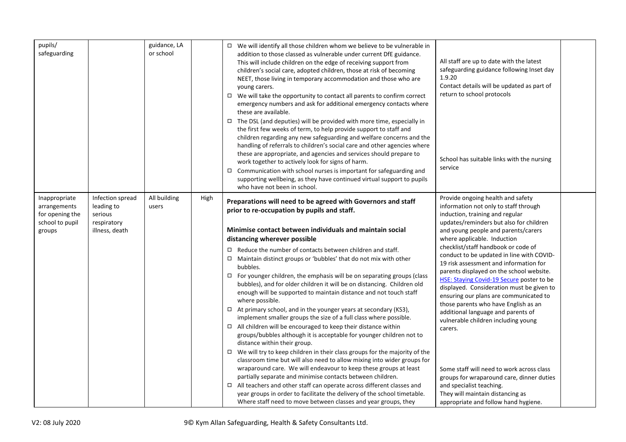| pupils/<br>safeguarding                                                       |                                                                            | guidance, LA<br>or school |      | $\Box$ We will identify all those children whom we believe to be vulnerable in<br>addition to those classed as vulnerable under current DfE guidance.<br>This will include children on the edge of receiving support from<br>children's social care, adopted children, those at risk of becoming<br>NEET, those living in temporary accommodation and those who are<br>young carers.<br>$\Box$ We will take the opportunity to contact all parents to confirm correct<br>emergency numbers and ask for additional emergency contacts where<br>these are available.                                                                                                                                                                                                                                                                                                                                                                                                                                                                                                                                                                                                                                                                                                                                                                      | All staff are up to date with the latest<br>safeguarding guidance following Inset day<br>1.9.20<br>Contact details will be updated as part of<br>return to school protocols                                                                                                                                                                                                                                                                                                                                                                                                                                                                                                                                                                                                                        |  |
|-------------------------------------------------------------------------------|----------------------------------------------------------------------------|---------------------------|------|-----------------------------------------------------------------------------------------------------------------------------------------------------------------------------------------------------------------------------------------------------------------------------------------------------------------------------------------------------------------------------------------------------------------------------------------------------------------------------------------------------------------------------------------------------------------------------------------------------------------------------------------------------------------------------------------------------------------------------------------------------------------------------------------------------------------------------------------------------------------------------------------------------------------------------------------------------------------------------------------------------------------------------------------------------------------------------------------------------------------------------------------------------------------------------------------------------------------------------------------------------------------------------------------------------------------------------------------|----------------------------------------------------------------------------------------------------------------------------------------------------------------------------------------------------------------------------------------------------------------------------------------------------------------------------------------------------------------------------------------------------------------------------------------------------------------------------------------------------------------------------------------------------------------------------------------------------------------------------------------------------------------------------------------------------------------------------------------------------------------------------------------------------|--|
|                                                                               |                                                                            |                           |      | $\Box$ The DSL (and deputies) will be provided with more time, especially in<br>the first few weeks of term, to help provide support to staff and<br>children regarding any new safeguarding and welfare concerns and the<br>handling of referrals to children's social care and other agencies where<br>these are appropriate, and agencies and services should prepare to<br>work together to actively look for signs of harm.<br>$\Box$ Communication with school nurses is important for safeguarding and<br>supporting wellbeing, as they have continued virtual support to pupils<br>who have not been in school.                                                                                                                                                                                                                                                                                                                                                                                                                                                                                                                                                                                                                                                                                                                 | School has suitable links with the nursing<br>service                                                                                                                                                                                                                                                                                                                                                                                                                                                                                                                                                                                                                                                                                                                                              |  |
| Inappropriate<br>arrangements<br>for opening the<br>school to pupil<br>groups | Infection spread<br>leading to<br>serious<br>respiratory<br>illness, death | All building<br>users     | High | Preparations will need to be agreed with Governors and staff<br>prior to re-occupation by pupils and staff.<br>Minimise contact between individuals and maintain social<br>distancing wherever possible<br>$\Box$ Reduce the number of contacts between children and staff.<br>$\Box$ Maintain distinct groups or 'bubbles' that do not mix with other<br>bubbles.<br>$\Box$ For younger children, the emphasis will be on separating groups (class<br>bubbles), and for older children it will be on distancing. Children old<br>enough will be supported to maintain distance and not touch staff<br>where possible.<br>$\Box$ At primary school, and in the younger years at secondary (KS3),<br>implement smaller groups the size of a full class where possible.<br>$\Box$ All children will be encouraged to keep their distance within<br>groups/bubbles although it is acceptable for younger children not to<br>distance within their group.<br>$\Box$ We will try to keep children in their class groups for the majority of the<br>classroom time but will also need to allow mixing into wider groups for<br>wraparound care. We will endeavour to keep these groups at least<br>partially separate and minimise contacts between children.<br>$\Box$ All teachers and other staff can operate across different classes and | Provide ongoing health and safety<br>information not only to staff through<br>induction, training and regular<br>updates/reminders but also for children<br>and young people and parents/carers<br>where applicable. Induction<br>checklist/staff handbook or code of<br>conduct to be updated in line with COVID-<br>19 risk assessment and information for<br>parents displayed on the school website.<br>HSE: Staying Covid-19 Secure poster to be<br>displayed. Consideration must be given to<br>ensuring our plans are communicated to<br>those parents who have English as an<br>additional language and parents of<br>vulnerable children including young<br>carers.<br>Some staff will need to work across class<br>groups for wraparound care, dinner duties<br>and specialist teaching. |  |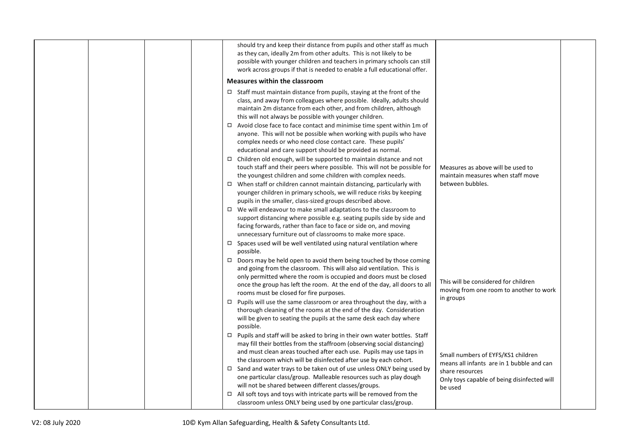|  |  | should try and keep their distance from pupils and other staff as much<br>as they can, ideally 2m from other adults. This is not likely to be<br>possible with younger children and teachers in primary schools can still<br>work across groups if that is needed to enable a full educational offer.                                                                                                                                                                                                                                                                                                                                                                                                                                 |                                                                                                                                                              |  |
|--|--|---------------------------------------------------------------------------------------------------------------------------------------------------------------------------------------------------------------------------------------------------------------------------------------------------------------------------------------------------------------------------------------------------------------------------------------------------------------------------------------------------------------------------------------------------------------------------------------------------------------------------------------------------------------------------------------------------------------------------------------|--------------------------------------------------------------------------------------------------------------------------------------------------------------|--|
|  |  | <b>Measures within the classroom</b>                                                                                                                                                                                                                                                                                                                                                                                                                                                                                                                                                                                                                                                                                                  |                                                                                                                                                              |  |
|  |  | $\Box$ Staff must maintain distance from pupils, staying at the front of the<br>class, and away from colleagues where possible. Ideally, adults should<br>maintain 2m distance from each other, and from children, although<br>this will not always be possible with younger children.<br>$\Box$ Avoid close face to face contact and minimise time spent within 1m of<br>anyone. This will not be possible when working with pupils who have<br>complex needs or who need close contact care. These pupils'<br>educational and care support should be provided as normal.<br>$\Box$ Children old enough, will be supported to maintain distance and not<br>touch staff and their peers where possible. This will not be possible for | Measures as above will be used to                                                                                                                            |  |
|  |  | the youngest children and some children with complex needs.<br>$\Box$ When staff or children cannot maintain distancing, particularly with<br>younger children in primary schools, we will reduce risks by keeping<br>pupils in the smaller, class-sized groups described above.<br>$\Box$ We will endeavour to make small adaptations to the classroom to<br>support distancing where possible e.g. seating pupils side by side and<br>facing forwards, rather than face to face or side on, and moving<br>unnecessary furniture out of classrooms to make more space.<br>$\Box$ Spaces used will be well ventilated using natural ventilation where                                                                                 | maintain measures when staff move<br>between bubbles.                                                                                                        |  |
|  |  | possible.<br>$\Box$ Doors may be held open to avoid them being touched by those coming<br>and going from the classroom. This will also aid ventilation. This is<br>only permitted where the room is occupied and doors must be closed<br>once the group has left the room. At the end of the day, all doors to all<br>rooms must be closed for fire purposes.<br>$\Box$ Pupils will use the same classroom or area throughout the day, with a<br>thorough cleaning of the rooms at the end of the day. Consideration<br>will be given to seating the pupils at the same desk each day where<br>possible.                                                                                                                              | This will be considered for children<br>moving from one room to another to work<br>in groups                                                                 |  |
|  |  | $\Box$ Pupils and staff will be asked to bring in their own water bottles. Staff<br>may fill their bottles from the staffroom (observing social distancing)<br>and must clean areas touched after each use. Pupils may use taps in<br>the classroom which will be disinfected after use by each cohort.<br>$\Box$ Sand and water trays to be taken out of use unless ONLY being used by<br>one particular class/group. Malleable resources such as play dough<br>will not be shared between different classes/groups.<br>$\Box$ All soft toys and toys with intricate parts will be removed from the<br>classroom unless ONLY being used by one particular class/group.                                                               | Small numbers of EYFS/KS1 children<br>means all infants are in 1 bubble and can<br>share resources<br>Only toys capable of being disinfected will<br>be used |  |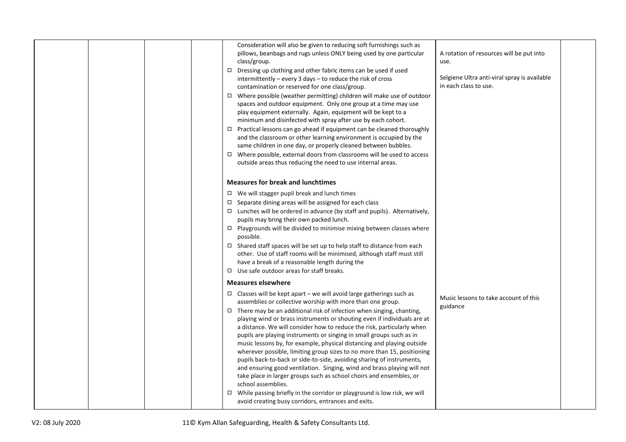| Consideration will also be given to reducing soft furnishings such as<br>pillows, beanbags and rugs unless ONLY being used by one particular<br>class/group.<br>$\Box$ Dressing up clothing and other fabric items can be used if used<br>intermittently - every 3 days - to reduce the risk of cross<br>contamination or reserved for one class/group.<br>$\Box$ Where possible (weather permitting) children will make use of outdoor<br>spaces and outdoor equipment. Only one group at a time may use<br>play equipment externally. Again, equipment will be kept to a<br>minimum and disinfected with spray after use by each cohort.<br>$\Box$ Practical lessons can go ahead if equipment can be cleaned thoroughly<br>and the classroom or other learning environment is occupied by the<br>same children in one day, or properly cleaned between bubbles.<br>□ Where possible, external doors from classrooms will be used to access<br>outside areas thus reducing the need to use internal areas.                       | A rotation of resources will be put into<br>use.<br>Selgiene Ultra anti-viral spray is available<br>in each class to use. |
|------------------------------------------------------------------------------------------------------------------------------------------------------------------------------------------------------------------------------------------------------------------------------------------------------------------------------------------------------------------------------------------------------------------------------------------------------------------------------------------------------------------------------------------------------------------------------------------------------------------------------------------------------------------------------------------------------------------------------------------------------------------------------------------------------------------------------------------------------------------------------------------------------------------------------------------------------------------------------------------------------------------------------------|---------------------------------------------------------------------------------------------------------------------------|
| <b>Measures for break and lunchtimes</b><br>$\Box$ We will stagger pupil break and lunch times<br>$\Box$ Separate dining areas will be assigned for each class<br>$\Box$ Lunches will be ordered in advance (by staff and pupils). Alternatively,<br>pupils may bring their own packed lunch.<br>$\Box$ Playgrounds will be divided to minimise mixing between classes where<br>possible.<br>$\Box$ Shared staff spaces will be set up to help staff to distance from each<br>other. Use of staff rooms will be minimised, although staff must still<br>have a break of a reasonable length during the<br>$\Box$ Use safe outdoor areas for staff breaks.                                                                                                                                                                                                                                                                                                                                                                          |                                                                                                                           |
| <b>Measures elsewhere</b><br>$\Box$ Classes will be kept apart – we will avoid large gatherings such as<br>assemblies or collective worship with more than one group.<br>$\Box$ There may be an additional risk of infection when singing, chanting,<br>playing wind or brass instruments or shouting even if individuals are at<br>a distance. We will consider how to reduce the risk, particularly when<br>pupils are playing instruments or singing in small groups such as in<br>music lessons by, for example, physical distancing and playing outside<br>wherever possible, limiting group sizes to no more than 15, positioning<br>pupils back-to-back or side-to-side, avoiding sharing of instruments,<br>and ensuring good ventilation. Singing, wind and brass playing will not<br>take place in larger groups such as school choirs and ensembles, or<br>school assemblies.<br>$\Box$ While passing briefly in the corridor or playground is low risk, we will<br>avoid creating busy corridors, entrances and exits. | Music lessons to take account of this<br>guidance                                                                         |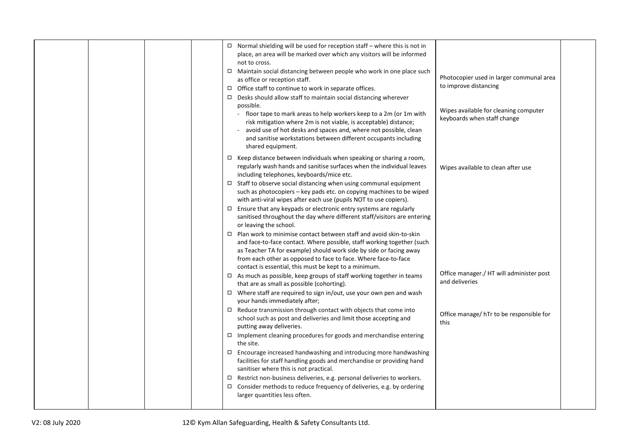| $\Box$ Normal shielding will be used for reception staff - where this is not in<br>place, an area will be marked over which any visitors will be informed<br>not to cross.<br>□ Maintain social distancing between people who work in one place such<br>Photocopier used in larger communal area<br>as office or reception staff.<br>to improve distancing<br>□ Office staff to continue to work in separate offices.<br>$\Box$ Desks should allow staff to maintain social distancing wherever<br>possible.<br>Wipes available for cleaning computer<br>- floor tape to mark areas to help workers keep to a 2m (or 1m with<br>keyboards when staff change<br>risk mitigation where 2m is not viable, is acceptable) distance;<br>- avoid use of hot desks and spaces and, where not possible, clean<br>and sanitise workstations between different occupants including<br>shared equipment. |  |
|-----------------------------------------------------------------------------------------------------------------------------------------------------------------------------------------------------------------------------------------------------------------------------------------------------------------------------------------------------------------------------------------------------------------------------------------------------------------------------------------------------------------------------------------------------------------------------------------------------------------------------------------------------------------------------------------------------------------------------------------------------------------------------------------------------------------------------------------------------------------------------------------------|--|
| $\Box$ Keep distance between individuals when speaking or sharing a room,<br>regularly wash hands and sanitise surfaces when the individual leaves<br>Wipes available to clean after use<br>including telephones, keyboards/mice etc.                                                                                                                                                                                                                                                                                                                                                                                                                                                                                                                                                                                                                                                         |  |
| $\Box$ Staff to observe social distancing when using communal equipment<br>such as photocopiers - key pads etc. on copying machines to be wiped<br>with anti-viral wipes after each use (pupils NOT to use copiers).                                                                                                                                                                                                                                                                                                                                                                                                                                                                                                                                                                                                                                                                          |  |
| $\Box$ Ensure that any keypads or electronic entry systems are regularly<br>sanitised throughout the day where different staff/visitors are entering<br>or leaving the school.                                                                                                                                                                                                                                                                                                                                                                                                                                                                                                                                                                                                                                                                                                                |  |
| $\Box$ Plan work to minimise contact between staff and avoid skin-to-skin<br>and face-to-face contact. Where possible, staff working together (such<br>as Teacher TA for example) should work side by side or facing away<br>from each other as opposed to face to face. Where face-to-face<br>contact is essential, this must be kept to a minimum.                                                                                                                                                                                                                                                                                                                                                                                                                                                                                                                                          |  |
| Office manager./ HT will administer post<br>$\Box$ As much as possible, keep groups of staff working together in teams<br>and deliveries<br>that are as small as possible (cohorting).                                                                                                                                                                                                                                                                                                                                                                                                                                                                                                                                                                                                                                                                                                        |  |
| $\Box$ Where staff are required to sign in/out, use your own pen and wash<br>your hands immediately after;                                                                                                                                                                                                                                                                                                                                                                                                                                                                                                                                                                                                                                                                                                                                                                                    |  |
| $\Box$ Reduce transmission through contact with objects that come into<br>Office manage/ hTr to be responsible for<br>school such as post and deliveries and limit those accepting and<br>this<br>putting away deliveries.                                                                                                                                                                                                                                                                                                                                                                                                                                                                                                                                                                                                                                                                    |  |
| $\Box$ Implement cleaning procedures for goods and merchandise entering<br>the site.                                                                                                                                                                                                                                                                                                                                                                                                                                                                                                                                                                                                                                                                                                                                                                                                          |  |
| $\Box$ Encourage increased handwashing and introducing more handwashing<br>facilities for staff handling goods and merchandise or providing hand<br>sanitiser where this is not practical.                                                                                                                                                                                                                                                                                                                                                                                                                                                                                                                                                                                                                                                                                                    |  |
| $\Box$ Restrict non-business deliveries, e.g. personal deliveries to workers.<br>$\Box$ Consider methods to reduce frequency of deliveries, e.g. by ordering<br>larger quantities less often.                                                                                                                                                                                                                                                                                                                                                                                                                                                                                                                                                                                                                                                                                                 |  |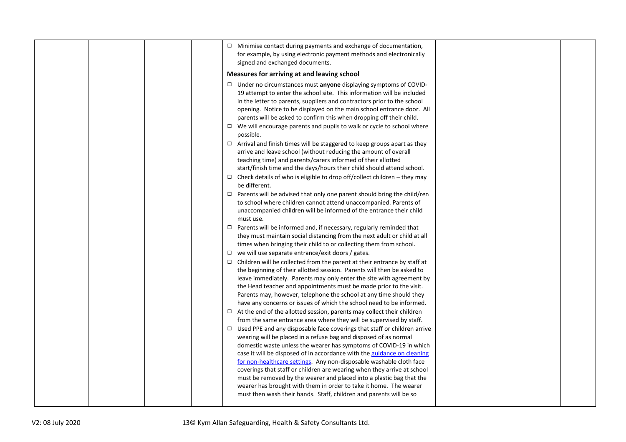| $\Box$ Minimise contact during payments and exchange of documentation,<br>for example, by using electronic payment methods and electronically<br>signed and exchanged documents.                                                                                                                                                                                                                                                                                                                                                                                                                                                                                                                                                                                                                                                                                                                                                                                                                                                    |
|-------------------------------------------------------------------------------------------------------------------------------------------------------------------------------------------------------------------------------------------------------------------------------------------------------------------------------------------------------------------------------------------------------------------------------------------------------------------------------------------------------------------------------------------------------------------------------------------------------------------------------------------------------------------------------------------------------------------------------------------------------------------------------------------------------------------------------------------------------------------------------------------------------------------------------------------------------------------------------------------------------------------------------------|
| Measures for arriving at and leaving school                                                                                                                                                                                                                                                                                                                                                                                                                                                                                                                                                                                                                                                                                                                                                                                                                                                                                                                                                                                         |
| $\Box$ Under no circumstances must anyone displaying symptoms of COVID-<br>19 attempt to enter the school site. This information will be included<br>in the letter to parents, suppliers and contractors prior to the school<br>opening. Notice to be displayed on the main school entrance door. All<br>parents will be asked to confirm this when dropping off their child.<br>$\Box$ We will encourage parents and pupils to walk or cycle to school where<br>possible.<br>$\Box$ Arrival and finish times will be staggered to keep groups apart as they<br>arrive and leave school (without reducing the amount of overall<br>teaching time) and parents/carers informed of their allotted<br>start/finish time and the days/hours their child should attend school.<br>$\Box$ Check details of who is eligible to drop off/collect children - they may<br>be different.<br>$\Box$ Parents will be advised that only one parent should bring the child/ren<br>to school where children cannot attend unaccompanied. Parents of |
| unaccompanied children will be informed of the entrance their child<br>must use.                                                                                                                                                                                                                                                                                                                                                                                                                                                                                                                                                                                                                                                                                                                                                                                                                                                                                                                                                    |
| $\Box$ Parents will be informed and, if necessary, regularly reminded that<br>they must maintain social distancing from the next adult or child at all<br>times when bringing their child to or collecting them from school.                                                                                                                                                                                                                                                                                                                                                                                                                                                                                                                                                                                                                                                                                                                                                                                                        |
| $\Box$ we will use separate entrance/exit doors / gates.<br>$\Box$ Children will be collected from the parent at their entrance by staff at<br>the beginning of their allotted session. Parents will then be asked to<br>leave immediately. Parents may only enter the site with agreement by<br>the Head teacher and appointments must be made prior to the visit.<br>Parents may, however, telephone the school at any time should they<br>have any concerns or issues of which the school need to be informed.                                                                                                                                                                                                                                                                                                                                                                                                                                                                                                                   |
| $\Box$ At the end of the allotted session, parents may collect their children<br>from the same entrance area where they will be supervised by staff.<br>$\Box$ Used PPE and any disposable face coverings that staff or children arrive<br>wearing will be placed in a refuse bag and disposed of as normal<br>domestic waste unless the wearer has symptoms of COVID-19 in which<br>case it will be disposed of in accordance with the guidance on cleaning<br>for non-healthcare settings. Any non-disposable washable cloth face<br>coverings that staff or children are wearing when they arrive at school                                                                                                                                                                                                                                                                                                                                                                                                                      |
| must be removed by the wearer and placed into a plastic bag that the<br>wearer has brought with them in order to take it home. The wearer<br>must then wash their hands. Staff, children and parents will be so                                                                                                                                                                                                                                                                                                                                                                                                                                                                                                                                                                                                                                                                                                                                                                                                                     |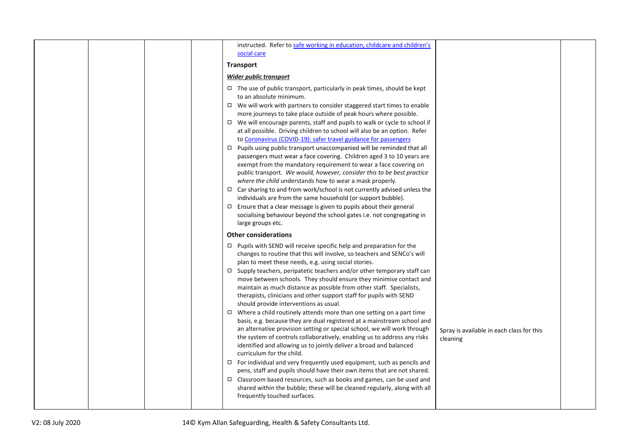|  |  | instructed. Refer to safe working in education, childcare and children's                                                                                                                                                                                                                                                                                                                                                                                                                                                                                                                                                                                                                                                                                                                                                                                                                                                                                                                                                                                            |                                                       |  |
|--|--|---------------------------------------------------------------------------------------------------------------------------------------------------------------------------------------------------------------------------------------------------------------------------------------------------------------------------------------------------------------------------------------------------------------------------------------------------------------------------------------------------------------------------------------------------------------------------------------------------------------------------------------------------------------------------------------------------------------------------------------------------------------------------------------------------------------------------------------------------------------------------------------------------------------------------------------------------------------------------------------------------------------------------------------------------------------------|-------------------------------------------------------|--|
|  |  | social care                                                                                                                                                                                                                                                                                                                                                                                                                                                                                                                                                                                                                                                                                                                                                                                                                                                                                                                                                                                                                                                         |                                                       |  |
|  |  | <b>Transport</b>                                                                                                                                                                                                                                                                                                                                                                                                                                                                                                                                                                                                                                                                                                                                                                                                                                                                                                                                                                                                                                                    |                                                       |  |
|  |  | <b>Wider public transport</b>                                                                                                                                                                                                                                                                                                                                                                                                                                                                                                                                                                                                                                                                                                                                                                                                                                                                                                                                                                                                                                       |                                                       |  |
|  |  | $\Box$ The use of public transport, particularly in peak times, should be kept<br>to an absolute minimum.<br>$\Box$ We will work with partners to consider staggered start times to enable<br>more journeys to take place outside of peak hours where possible.<br>$\Box$ We will encourage parents, staff and pupils to walk or cycle to school if<br>at all possible. Driving children to school will also be an option. Refer<br>to Coronavirus (COVID-19): safer travel guidance for passengers<br>$\Box$ Pupils using public transport unaccompanied will be reminded that all<br>passengers must wear a face covering. Children aged 3 to 10 years are<br>exempt from the mandatory requirement to wear a face covering on<br>public transport. We would, however, consider this to be best practice<br>where the child understands how to wear a mask properly.<br>$\Box$ Car sharing to and from work/school is not currently advised unless the<br>individuals are from the same household (or support bubble).                                            |                                                       |  |
|  |  | $\Box$ Ensure that a clear message is given to pupils about their general<br>socialising behaviour beyond the school gates i.e. not congregating in<br>large groups etc.                                                                                                                                                                                                                                                                                                                                                                                                                                                                                                                                                                                                                                                                                                                                                                                                                                                                                            |                                                       |  |
|  |  | <b>Other considerations</b>                                                                                                                                                                                                                                                                                                                                                                                                                                                                                                                                                                                                                                                                                                                                                                                                                                                                                                                                                                                                                                         |                                                       |  |
|  |  | $\Box$ Pupils with SEND will receive specific help and preparation for the<br>changes to routine that this will involve, so teachers and SENCo's will<br>plan to meet these needs, e.g. using social stories.<br>$\Box$ Supply teachers, peripatetic teachers and/or other temporary staff can<br>move between schools. They should ensure they minimise contact and<br>maintain as much distance as possible from other staff. Specialists,<br>therapists, clinicians and other support staff for pupils with SEND<br>should provide interventions as usual.<br>$\Box$ Where a child routinely attends more than one setting on a part time<br>basis, e.g. because they are dual registered at a mainstream school and<br>an alternative provision setting or special school, we will work through<br>the system of controls collaboratively, enabling us to address any risks<br>identified and allowing us to jointly deliver a broad and balanced<br>curriculum for the child.<br>$\Box$ For individual and very frequently used equipment, such as pencils and | Spray is available in each class for this<br>cleaning |  |
|  |  | pens, staff and pupils should have their own items that are not shared.<br>$\Box$ Classroom based resources, such as books and games, can be used and<br>shared within the bubble; these will be cleaned regularly, along with all<br>frequently touched surfaces.                                                                                                                                                                                                                                                                                                                                                                                                                                                                                                                                                                                                                                                                                                                                                                                                  |                                                       |  |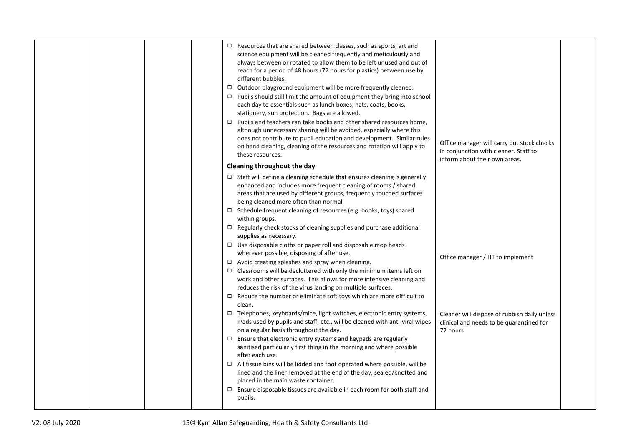|  |  | $\Box$ Resources that are shared between classes, such as sports, art and<br>science equipment will be cleaned frequently and meticulously and<br>always between or rotated to allow them to be left unused and out of<br>reach for a period of 48 hours (72 hours for plastics) between use by<br>different bubbles.<br>$\Box$ Outdoor playground equipment will be more frequently cleaned.<br>$\Box$ Pupils should still limit the amount of equipment they bring into school<br>each day to essentials such as lunch boxes, hats, coats, books,<br>stationery, sun protection. Bags are allowed.<br>$\Box$ Pupils and teachers can take books and other shared resources home,<br>although unnecessary sharing will be avoided, especially where this<br>does not contribute to pupil education and development. Similar rules<br>on hand cleaning, cleaning of the resources and rotation will apply to<br>these resources.<br>Cleaning throughout the day  | Office manager will carry out stock checks<br>in conjunction with cleaner. Staff to<br>inform about their own areas. |  |
|--|--|------------------------------------------------------------------------------------------------------------------------------------------------------------------------------------------------------------------------------------------------------------------------------------------------------------------------------------------------------------------------------------------------------------------------------------------------------------------------------------------------------------------------------------------------------------------------------------------------------------------------------------------------------------------------------------------------------------------------------------------------------------------------------------------------------------------------------------------------------------------------------------------------------------------------------------------------------------------|----------------------------------------------------------------------------------------------------------------------|--|
|  |  | $\Box$ Staff will define a cleaning schedule that ensures cleaning is generally<br>enhanced and includes more frequent cleaning of rooms / shared<br>areas that are used by different groups, frequently touched surfaces<br>being cleaned more often than normal.<br>□ Schedule frequent cleaning of resources (e.g. books, toys) shared<br>within groups.<br>$\Box$ Regularly check stocks of cleaning supplies and purchase additional<br>supplies as necessary.<br>$\Box$ Use disposable cloths or paper roll and disposable mop heads<br>wherever possible, disposing of after use.<br>$\Box$ Avoid creating splashes and spray when cleaning.<br>$\Box$ Classrooms will be decluttered with only the minimum items left on<br>work and other surfaces. This allows for more intensive cleaning and<br>reduces the risk of the virus landing on multiple surfaces.<br>$\Box$ Reduce the number or eliminate soft toys which are more difficult to<br>clean. | Office manager / HT to implement                                                                                     |  |
|  |  | □ Telephones, keyboards/mice, light switches, electronic entry systems,<br>iPads used by pupils and staff, etc., will be cleaned with anti-viral wipes<br>on a regular basis throughout the day.<br>$\Box$ Ensure that electronic entry systems and keypads are regularly<br>sanitised particularly first thing in the morning and where possible<br>after each use.<br>$\Box$ All tissue bins will be lidded and foot operated where possible, will be<br>lined and the liner removed at the end of the day, sealed/knotted and<br>placed in the main waste container.<br>$\Box$ Ensure disposable tissues are available in each room for both staff and<br>pupils.                                                                                                                                                                                                                                                                                             | Cleaner will dispose of rubbish daily unless<br>clinical and needs to be quarantined for<br>72 hours                 |  |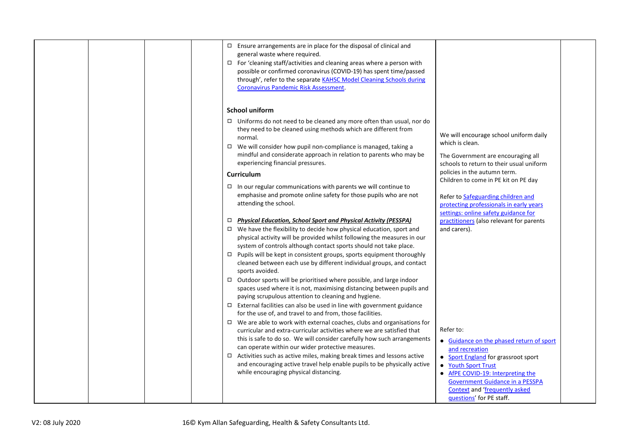| $\Box$ Ensure arrangements are in place for the disposal of clinical and<br>general waste where required.<br>$\Box$ For 'cleaning staff/activities and cleaning areas where a person with<br>possible or confirmed coronavirus (COVID-19) has spent time/passed<br>through', refer to the separate KAHSC Model Cleaning Schools during<br><b>Coronavirus Pandemic Risk Assessment.</b><br><b>School uniform</b>                                                                                                                                                                                                                                                                                                                                                                                                                                                                                                                                                                                                                                                                                                                                                                                                                                                                                                                                                                                                                                                                                                                                                                                                                                                                                                                                                                                                                                                                                                                                                                                                                                                                                                                                                                                                                                                                                                                                                                                                                                                                                                                                            |  |
|------------------------------------------------------------------------------------------------------------------------------------------------------------------------------------------------------------------------------------------------------------------------------------------------------------------------------------------------------------------------------------------------------------------------------------------------------------------------------------------------------------------------------------------------------------------------------------------------------------------------------------------------------------------------------------------------------------------------------------------------------------------------------------------------------------------------------------------------------------------------------------------------------------------------------------------------------------------------------------------------------------------------------------------------------------------------------------------------------------------------------------------------------------------------------------------------------------------------------------------------------------------------------------------------------------------------------------------------------------------------------------------------------------------------------------------------------------------------------------------------------------------------------------------------------------------------------------------------------------------------------------------------------------------------------------------------------------------------------------------------------------------------------------------------------------------------------------------------------------------------------------------------------------------------------------------------------------------------------------------------------------------------------------------------------------------------------------------------------------------------------------------------------------------------------------------------------------------------------------------------------------------------------------------------------------------------------------------------------------------------------------------------------------------------------------------------------------------------------------------------------------------------------------------------------------|--|
| $\Box$ Uniforms do not need to be cleaned any more often than usual, nor do<br>they need to be cleaned using methods which are different from<br>We will encourage school uniform daily<br>normal.<br>which is clean.<br>□ We will consider how pupil non-compliance is managed, taking a<br>mindful and considerate approach in relation to parents who may be<br>The Government are encouraging all<br>experiencing financial pressures.<br>schools to return to their usual uniform<br>policies in the autumn term.<br><b>Curriculum</b><br>Children to come in PE kit on PE day<br>$\Box$ In our regular communications with parents we will continue to<br>emphasise and promote online safety for those pupils who are not<br>Refer to Safeguarding children and<br>attending the school.<br>protecting professionals in early years<br>settings: online safety guidance for<br>$\Box$ Physical Education, School Sport and Physical Activity (PESSPA)<br>practitioners (also relevant for parents<br>$\Box$ We have the flexibility to decide how physical education, sport and<br>and carers).<br>physical activity will be provided whilst following the measures in our<br>system of controls although contact sports should not take place.<br>□ Pupils will be kept in consistent groups, sports equipment thoroughly<br>cleaned between each use by different individual groups, and contact<br>sports avoided.<br>$\Box$ Outdoor sports will be prioritised where possible, and large indoor<br>spaces used where it is not, maximising distancing between pupils and<br>paying scrupulous attention to cleaning and hygiene.<br>$\Box$ External facilities can also be used in line with government guidance<br>for the use of, and travel to and from, those facilities.<br>$\Box$ We are able to work with external coaches, clubs and organisations for<br>Refer to:<br>curricular and extra-curricular activities where we are satisfied that<br>this is safe to do so. We will consider carefully how such arrangements<br>• Guidance on the phased return of sport<br>can operate within our wider protective measures.<br>and recreation<br>$\Box$ Activities such as active miles, making break times and lessons active<br>• Sport England for grassroot sport<br>and encouraging active travel help enable pupils to be physically active<br>• Youth Sport Trust<br>while encouraging physical distancing.<br>• AfPE COVID-19: Interpreting the<br><b>Government Guidance in a PESSPA</b><br><b>Context and 'frequently asked</b> |  |
| questions' for PE staff.                                                                                                                                                                                                                                                                                                                                                                                                                                                                                                                                                                                                                                                                                                                                                                                                                                                                                                                                                                                                                                                                                                                                                                                                                                                                                                                                                                                                                                                                                                                                                                                                                                                                                                                                                                                                                                                                                                                                                                                                                                                                                                                                                                                                                                                                                                                                                                                                                                                                                                                                   |  |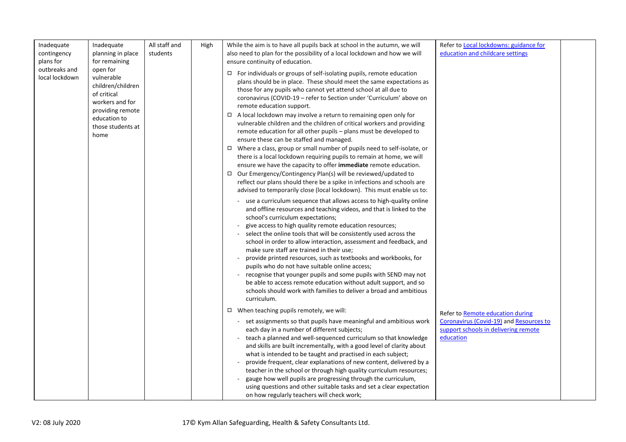| Inadequate<br>contingency<br>plans for | Inadequate<br>planning in place<br>for remaining                                                                                               | All staff and<br>students | High | While the aim is to have all pupils back at school in the autumn, we will<br>also need to plan for the possibility of a local lockdown and how we will<br>ensure continuity of education.                                                                                                                                                                                                                                                                                                                                                                                                                                                                                                                                                                                                                                                                                                                                                                                                                                                                 | Refer to Local lockdowns: guidance for<br>education and childcare settings                                                       |  |
|----------------------------------------|------------------------------------------------------------------------------------------------------------------------------------------------|---------------------------|------|-----------------------------------------------------------------------------------------------------------------------------------------------------------------------------------------------------------------------------------------------------------------------------------------------------------------------------------------------------------------------------------------------------------------------------------------------------------------------------------------------------------------------------------------------------------------------------------------------------------------------------------------------------------------------------------------------------------------------------------------------------------------------------------------------------------------------------------------------------------------------------------------------------------------------------------------------------------------------------------------------------------------------------------------------------------|----------------------------------------------------------------------------------------------------------------------------------|--|
| outbreaks and<br>local lockdown        | open for<br>vulnerable<br>children/children<br>of critical<br>workers and for<br>providing remote<br>education to<br>those students at<br>home |                           |      | $\Box$ For individuals or groups of self-isolating pupils, remote education<br>plans should be in place. These should meet the same expectations as<br>those for any pupils who cannot yet attend school at all due to<br>coronavirus (COVID-19 - refer to Section under 'Curriculum' above on<br>remote education support.<br>$\Box$ A local lockdown may involve a return to remaining open only for<br>vulnerable children and the children of critical workers and providing<br>remote education for all other pupils – plans must be developed to<br>ensure these can be staffed and managed.<br>$\Box$ Where a class, group or small number of pupils need to self-isolate, or<br>there is a local lockdown requiring pupils to remain at home, we will<br>ensure we have the capacity to offer immediate remote education.<br>□ Our Emergency/Contingency Plan(s) will be reviewed/updated to<br>reflect our plans should there be a spike in infections and schools are<br>advised to temporarily close (local lockdown). This must enable us to: |                                                                                                                                  |  |
|                                        |                                                                                                                                                |                           |      | use a curriculum sequence that allows access to high-quality online<br>and offline resources and teaching videos, and that is linked to the<br>school's curriculum expectations;<br>give access to high quality remote education resources;<br>select the online tools that will be consistently used across the<br>school in order to allow interaction, assessment and feedback, and<br>make sure staff are trained in their use;<br>provide printed resources, such as textbooks and workbooks, for<br>pupils who do not have suitable online access;<br>recognise that younger pupils and some pupils with SEND may not<br>be able to access remote education without adult support, and so<br>schools should work with families to deliver a broad and ambitious<br>curriculum.                                                                                                                                                                                                                                                                      |                                                                                                                                  |  |
|                                        |                                                                                                                                                |                           |      | $\Box$ When teaching pupils remotely, we will:<br>- set assignments so that pupils have meaningful and ambitious work<br>each day in a number of different subjects;<br>teach a planned and well-sequenced curriculum so that knowledge<br>and skills are built incrementally, with a good level of clarity about<br>what is intended to be taught and practised in each subject;<br>provide frequent, clear explanations of new content, delivered by a<br>teacher in the school or through high quality curriculum resources;<br>gauge how well pupils are progressing through the curriculum,<br>using questions and other suitable tasks and set a clear expectation<br>on how regularly teachers will check work;                                                                                                                                                                                                                                                                                                                                    | Refer to Remote education during<br>Coronavirus (Covid-19) and Resources to<br>support schools in delivering remote<br>education |  |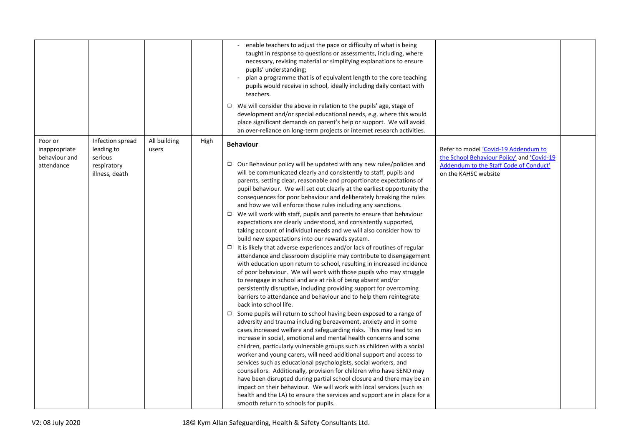|                                                         |                                                                            |                       |      | - enable teachers to adjust the pace or difficulty of what is being<br>taught in response to questions or assessments, including, where<br>necessary, revising material or simplifying explanations to ensure<br>pupils' understanding;<br>plan a programme that is of equivalent length to the core teaching<br>pupils would receive in school, ideally including daily contact with<br>teachers.<br>$\Box$ We will consider the above in relation to the pupils' age, stage of<br>development and/or special educational needs, e.g. where this would<br>place significant demands on parent's help or support. We will avoid<br>an over-reliance on long-term projects or internet research activities.                                                                                                                                                                                                                                                                                                                                                                                                                                                                                                                                                                                                                                                                                                                                                                                                                                                                                                                                                                                                                                                                                                                                                                                                                                                                                                                                                                                                                                             |                                                                                                                                                      |  |
|---------------------------------------------------------|----------------------------------------------------------------------------|-----------------------|------|--------------------------------------------------------------------------------------------------------------------------------------------------------------------------------------------------------------------------------------------------------------------------------------------------------------------------------------------------------------------------------------------------------------------------------------------------------------------------------------------------------------------------------------------------------------------------------------------------------------------------------------------------------------------------------------------------------------------------------------------------------------------------------------------------------------------------------------------------------------------------------------------------------------------------------------------------------------------------------------------------------------------------------------------------------------------------------------------------------------------------------------------------------------------------------------------------------------------------------------------------------------------------------------------------------------------------------------------------------------------------------------------------------------------------------------------------------------------------------------------------------------------------------------------------------------------------------------------------------------------------------------------------------------------------------------------------------------------------------------------------------------------------------------------------------------------------------------------------------------------------------------------------------------------------------------------------------------------------------------------------------------------------------------------------------------------------------------------------------------------------------------------------------|------------------------------------------------------------------------------------------------------------------------------------------------------|--|
| Poor or<br>inappropriate<br>behaviour and<br>attendance | Infection spread<br>leading to<br>serious<br>respiratory<br>illness, death | All building<br>users | High | <b>Behaviour</b><br>$\Box$ Our Behaviour policy will be updated with any new rules/policies and<br>will be communicated clearly and consistently to staff, pupils and<br>parents, setting clear, reasonable and proportionate expectations of<br>pupil behaviour. We will set out clearly at the earliest opportunity the<br>consequences for poor behaviour and deliberately breaking the rules<br>and how we will enforce those rules including any sanctions.<br>$\Box$ We will work with staff, pupils and parents to ensure that behaviour<br>expectations are clearly understood, and consistently supported,<br>taking account of individual needs and we will also consider how to<br>build new expectations into our rewards system.<br>$\Box$ It is likely that adverse experiences and/or lack of routines of regular<br>attendance and classroom discipline may contribute to disengagement<br>with education upon return to school, resulting in increased incidence<br>of poor behaviour. We will work with those pupils who may struggle<br>to reengage in school and are at risk of being absent and/or<br>persistently disruptive, including providing support for overcoming<br>barriers to attendance and behaviour and to help them reintegrate<br>back into school life.<br>□ Some pupils will return to school having been exposed to a range of<br>adversity and trauma including bereavement, anxiety and in some<br>cases increased welfare and safeguarding risks. This may lead to an<br>increase in social, emotional and mental health concerns and some<br>children, particularly vulnerable groups such as children with a social<br>worker and young carers, will need additional support and access to<br>services such as educational psychologists, social workers, and<br>counsellors. Additionally, provision for children who have SEND may<br>have been disrupted during partial school closure and there may be an<br>impact on their behaviour. We will work with local services (such as<br>health and the LA) to ensure the services and support are in place for a<br>smooth return to schools for pupils. | Refer to model 'Covid-19 Addendum to<br>the School Behaviour Policy' and 'Covid-19<br>Addendum to the Staff Code of Conduct'<br>on the KAHSC website |  |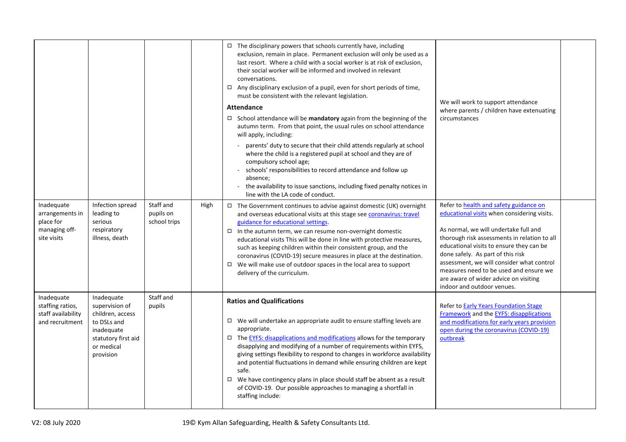|                                                                            |                                                                                                                                 |                                        |      | $\Box$ The disciplinary powers that schools currently have, including<br>exclusion, remain in place. Permanent exclusion will only be used as a<br>last resort. Where a child with a social worker is at risk of exclusion,<br>their social worker will be informed and involved in relevant<br>conversations.<br>$\Box$ Any disciplinary exclusion of a pupil, even for short periods of time,<br>must be consistent with the relevant legislation.<br><b>Attendance</b><br>$\Box$ School attendance will be mandatory again from the beginning of the<br>autumn term. From that point, the usual rules on school attendance<br>will apply, including:<br>- parents' duty to secure that their child attends regularly at school<br>where the child is a registered pupil at school and they are of<br>compulsory school age;<br>schools' responsibilities to record attendance and follow up<br>absence;<br>the availability to issue sanctions, including fixed penalty notices in<br>line with the LA code of conduct. | We will work to support attendance<br>where parents / children have extenuating<br>circumstances                                                                                                                                                                                                                                                                                                                                     |  |
|----------------------------------------------------------------------------|---------------------------------------------------------------------------------------------------------------------------------|----------------------------------------|------|----------------------------------------------------------------------------------------------------------------------------------------------------------------------------------------------------------------------------------------------------------------------------------------------------------------------------------------------------------------------------------------------------------------------------------------------------------------------------------------------------------------------------------------------------------------------------------------------------------------------------------------------------------------------------------------------------------------------------------------------------------------------------------------------------------------------------------------------------------------------------------------------------------------------------------------------------------------------------------------------------------------------------|--------------------------------------------------------------------------------------------------------------------------------------------------------------------------------------------------------------------------------------------------------------------------------------------------------------------------------------------------------------------------------------------------------------------------------------|--|
| Inadequate<br>arrangements in<br>place for<br>managing off-<br>site visits | Infection spread<br>leading to<br>serious<br>respiratory<br>illness, death                                                      | Staff and<br>pupils on<br>school trips | High | $\Box$ The Government continues to advise against domestic (UK) overnight<br>and overseas educational visits at this stage see <b>coronavirus: travel</b><br>guidance for educational settings.<br>$\Box$ In the autumn term, we can resume non-overnight domestic<br>educational visits This will be done in line with protective measures,<br>such as keeping children within their consistent group, and the<br>coronavirus (COVID-19) secure measures in place at the destination.<br>$\Box$ We will make use of outdoor spaces in the local area to support<br>delivery of the curriculum.                                                                                                                                                                                                                                                                                                                                                                                                                            | Refer to <b>health and safety guidance on</b><br>educational visits when considering visits.<br>As normal, we will undertake full and<br>thorough risk assessments in relation to all<br>educational visits to ensure they can be<br>done safely. As part of this risk<br>assessment, we will consider what control<br>measures need to be used and ensure we<br>are aware of wider advice on visiting<br>indoor and outdoor venues. |  |
| Inadequate<br>staffing ratios,<br>staff availability<br>and recruitment    | Inadequate<br>supervision of<br>children, access<br>to DSLs and<br>inadequate<br>statutory first aid<br>or medical<br>provision | Staff and<br>pupils                    |      | <b>Ratios and Qualifications</b><br>$\Box$ We will undertake an appropriate audit to ensure staffing levels are<br>appropriate.<br>$\Box$ The EYFS: disapplications and modifications allows for the temporary<br>disapplying and modifying of a number of requirements within EYFS,<br>giving settings flexibility to respond to changes in workforce availability<br>and potential fluctuations in demand while ensuring children are kept<br>safe.<br>$\Box$ We have contingency plans in place should staff be absent as a result<br>of COVID-19. Our possible approaches to managing a shortfall in<br>staffing include:                                                                                                                                                                                                                                                                                                                                                                                              | Refer to <b>Early Years Foundation Stage</b><br>Framework and the EYFS: disapplications<br>and modifications for early years provision<br>open during the coronavirus (COVID-19)<br>outbreak                                                                                                                                                                                                                                         |  |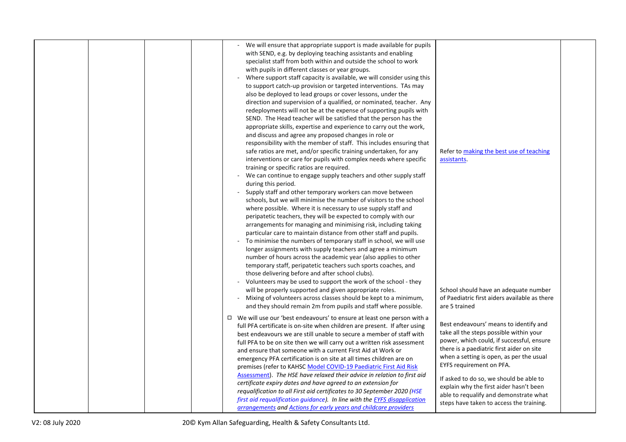|  |  | - We will ensure that appropriate support is made available for pupils<br>with SEND, e.g. by deploying teaching assistants and enabling<br>specialist staff from both within and outside the school to work<br>with pupils in different classes or year groups.<br>Where support staff capacity is available, we will consider using this<br>to support catch-up provision or targeted interventions. TAs may<br>also be deployed to lead groups or cover lessons, under the<br>direction and supervision of a qualified, or nominated, teacher. Any<br>redeployments will not be at the expense of supporting pupils with<br>SEND. The Head teacher will be satisfied that the person has the<br>appropriate skills, expertise and experience to carry out the work,<br>and discuss and agree any proposed changes in role or<br>responsibility with the member of staff. This includes ensuring that<br>safe ratios are met, and/or specific training undertaken, for any<br>Refer to making the best use of teaching<br>interventions or care for pupils with complex needs where specific<br>assistants.<br>training or specific ratios are required.<br>- We can continue to engage supply teachers and other supply staff<br>during this period.<br>Supply staff and other temporary workers can move between<br>schools, but we will minimise the number of visitors to the school<br>where possible. Where it is necessary to use supply staff and<br>peripatetic teachers, they will be expected to comply with our<br>arrangements for managing and minimising risk, including taking<br>particular care to maintain distance from other staff and pupils.<br>To minimise the numbers of temporary staff in school, we will use<br>longer assignments with supply teachers and agree a minimum<br>number of hours across the academic year (also applies to other<br>temporary staff, peripatetic teachers such sports coaches, and<br>those delivering before and after school clubs).<br>- Volunteers may be used to support the work of the school - they<br>will be properly supported and given appropriate roles.<br>School should have an adequate number<br>- Mixing of volunteers across classes should be kept to a minimum,<br>of Paediatric first aiders available as there<br>and they should remain 2m from pupils and staff where possible.<br>are 5 trained |  |
|--|--|---------------------------------------------------------------------------------------------------------------------------------------------------------------------------------------------------------------------------------------------------------------------------------------------------------------------------------------------------------------------------------------------------------------------------------------------------------------------------------------------------------------------------------------------------------------------------------------------------------------------------------------------------------------------------------------------------------------------------------------------------------------------------------------------------------------------------------------------------------------------------------------------------------------------------------------------------------------------------------------------------------------------------------------------------------------------------------------------------------------------------------------------------------------------------------------------------------------------------------------------------------------------------------------------------------------------------------------------------------------------------------------------------------------------------------------------------------------------------------------------------------------------------------------------------------------------------------------------------------------------------------------------------------------------------------------------------------------------------------------------------------------------------------------------------------------------------------------------------------------------------------------------------------------------------------------------------------------------------------------------------------------------------------------------------------------------------------------------------------------------------------------------------------------------------------------------------------------------------------------------------------------------------------------------------------------------------------------------------------------------------------------|--|
|  |  | □ We will use our 'best endeavours' to ensure at least one person with a<br>Best endeavours' means to identify and<br>full PFA certificate is on-site when children are present. If after using<br>take all the steps possible within your<br>best endeavours we are still unable to secure a member of staff with<br>power, which could, if successful, ensure<br>full PFA to be on site then we will carry out a written risk assessment<br>there is a paediatric first aider on site<br>and ensure that someone with a current First Aid at Work or<br>when a setting is open, as per the usual<br>emergency PFA certification is on site at all times children are on<br>EYFS requirement on PFA.<br>premises (refer to KAHSC Model COVID-19 Paediatric First Aid Risk<br>Assessment). The HSE have relaxed their advice in relation to first aid<br>If asked to do so, we should be able to<br>certificate expiry dates and have agreed to an extension for<br>explain why the first aider hasn't been<br>requalification to all First aid certificates to 30 September 2020 (HSE<br>able to requalify and demonstrate what<br>first aid requalification quidance). In line with the EYFS disapplication<br>steps have taken to access the training.<br>arrangements and Actions for early years and childcare providers                                                                                                                                                                                                                                                                                                                                                                                                                                                                                                                                                                                                                                                                                                                                                                                                                                                                                                                                                                                                                                                         |  |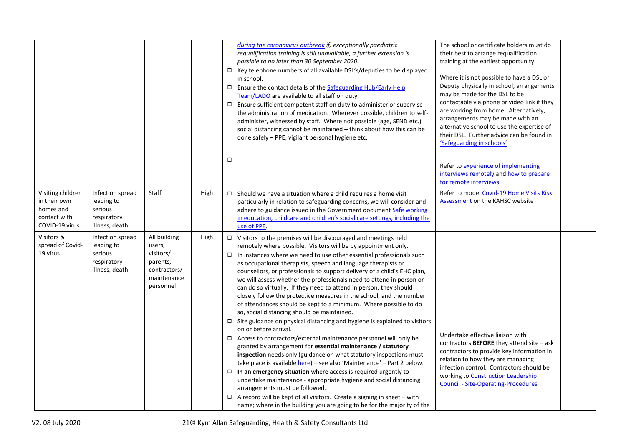|                                                                                  |                                                                            |                                                                                             |      | during the coronavirus outbreak if, exceptionally paediatric<br>requalification training is still unavailable, a further extension is<br>possible to no later than 30 September 2020.<br>$\Box$ Key telephone numbers of all available DSL's/deputies to be displayed<br>in school.<br>$\Box$ Ensure the contact details of the Safeguarding Hub/Early Help<br>Team/LADO are available to all staff on duty.<br>$\Box$ Ensure sufficient competent staff on duty to administer or supervise<br>the administration of medication. Wherever possible, children to self-<br>administer, witnessed by staff. Where not possible (age, SEND etc.)<br>social distancing cannot be maintained - think about how this can be<br>done safely - PPE, vigilant personal hygiene etc.                                                                                                                                                                                                                                                                                                                                                                                                                                                                                                                                                                                                                                                                                          | The school or certificate holders must do<br>their best to arrange requalification<br>training at the earliest opportunity.<br>Where it is not possible to have a DSL or<br>Deputy physically in school, arrangements<br>may be made for the DSL to be<br>contactable via phone or video link if they<br>are working from home. Alternatively,<br>arrangements may be made with an<br>alternative school to use the expertise of<br>their DSL. Further advice can be found in<br>'Safeguarding in schools' |  |
|----------------------------------------------------------------------------------|----------------------------------------------------------------------------|---------------------------------------------------------------------------------------------|------|--------------------------------------------------------------------------------------------------------------------------------------------------------------------------------------------------------------------------------------------------------------------------------------------------------------------------------------------------------------------------------------------------------------------------------------------------------------------------------------------------------------------------------------------------------------------------------------------------------------------------------------------------------------------------------------------------------------------------------------------------------------------------------------------------------------------------------------------------------------------------------------------------------------------------------------------------------------------------------------------------------------------------------------------------------------------------------------------------------------------------------------------------------------------------------------------------------------------------------------------------------------------------------------------------------------------------------------------------------------------------------------------------------------------------------------------------------------------|------------------------------------------------------------------------------------------------------------------------------------------------------------------------------------------------------------------------------------------------------------------------------------------------------------------------------------------------------------------------------------------------------------------------------------------------------------------------------------------------------------|--|
|                                                                                  |                                                                            |                                                                                             |      | $\Box$                                                                                                                                                                                                                                                                                                                                                                                                                                                                                                                                                                                                                                                                                                                                                                                                                                                                                                                                                                                                                                                                                                                                                                                                                                                                                                                                                                                                                                                             | Refer to experience of implementing<br>interviews remotely and how to prepare<br>for remote interviews                                                                                                                                                                                                                                                                                                                                                                                                     |  |
| Visiting children<br>in their own<br>homes and<br>contact with<br>COVID-19 virus | Infection spread<br>leading to<br>serious<br>respiratory<br>illness, death | Staff                                                                                       | High | $\Box$ Should we have a situation where a child requires a home visit<br>particularly in relation to safeguarding concerns, we will consider and<br>adhere to guidance issued in the Government document Safe working<br>in education, childcare and children's social care settings, including the<br>use of PPE.                                                                                                                                                                                                                                                                                                                                                                                                                                                                                                                                                                                                                                                                                                                                                                                                                                                                                                                                                                                                                                                                                                                                                 | Refer to model Covid-19 Home Visits Risk<br>Assessment on the KAHSC website                                                                                                                                                                                                                                                                                                                                                                                                                                |  |
| Visitors &<br>spread of Covid-<br>19 virus                                       | Infection spread<br>leading to<br>serious<br>respiratory<br>illness, death | All building<br>users,<br>visitors/<br>parents,<br>contractors/<br>maintenance<br>personnel | High | $\Box$ Visitors to the premises will be discouraged and meetings held<br>remotely where possible. Visitors will be by appointment only.<br>$\Box$ In instances where we need to use other essential professionals such<br>as occupational therapists, speech and language therapists or<br>counsellors, or professionals to support delivery of a child's EHC plan,<br>we will assess whether the professionals need to attend in person or<br>can do so virtually. If they need to attend in person, they should<br>closely follow the protective measures in the school, and the number<br>of attendances should be kept to a minimum. Where possible to do<br>so, social distancing should be maintained.<br>$\Box$ Site guidance on physical distancing and hygiene is explained to visitors<br>on or before arrival.<br>$\Box$ Access to contractors/external maintenance personnel will only be<br>granted by arrangement for essential maintenance / statutory<br>inspection needs only (guidance on what statutory inspections must<br>take place is available here) - see also 'Maintenance' - Part 2 below.<br>$\Box$ In an emergency situation where access is required urgently to<br>undertake maintenance - appropriate hygiene and social distancing<br>arrangements must be followed.<br>$\Box$ A record will be kept of all visitors. Create a signing in sheet – with<br>name; where in the building you are going to be for the majority of the | Undertake effective liaison with<br>contractors <b>BEFORE</b> they attend site $-\text{ask}$<br>contractors to provide key information in<br>relation to how they are managing<br>infection control. Contractors should be<br>working to Construction Leadership<br><b>Council - Site-Operating-Procedures</b>                                                                                                                                                                                             |  |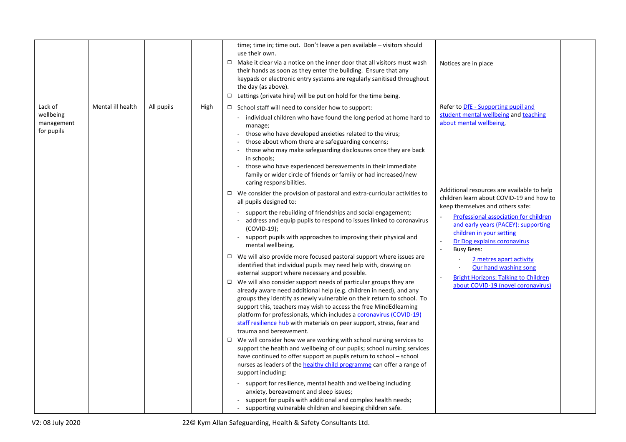|                                                                                     |      | time; time in; time out. Don't leave a pen available - visitors should<br>use their own.<br>□ Make it clear via a notice on the inner door that all visitors must wash<br>their hands as soon as they enter the building. Ensure that any<br>keypads or electronic entry systems are regularly sanitised throughout<br>the day (as above).<br>$\Box$ Lettings (private hire) will be put on hold for the time being.                                                                                                                                                                                                                                                                                                                                                                                                                                                                                                                                                                                                                                                                                                                                                                                                                                                                                                                                                                                                                                                                                                                                                                                                                                                                                                                                                                                                                                                                                                                                                                                                                                                                                                                        | Notices are in place                                                                                                                                                                                                                                                                                                                                                                                                                                                                                                                                                                 |
|-------------------------------------------------------------------------------------|------|---------------------------------------------------------------------------------------------------------------------------------------------------------------------------------------------------------------------------------------------------------------------------------------------------------------------------------------------------------------------------------------------------------------------------------------------------------------------------------------------------------------------------------------------------------------------------------------------------------------------------------------------------------------------------------------------------------------------------------------------------------------------------------------------------------------------------------------------------------------------------------------------------------------------------------------------------------------------------------------------------------------------------------------------------------------------------------------------------------------------------------------------------------------------------------------------------------------------------------------------------------------------------------------------------------------------------------------------------------------------------------------------------------------------------------------------------------------------------------------------------------------------------------------------------------------------------------------------------------------------------------------------------------------------------------------------------------------------------------------------------------------------------------------------------------------------------------------------------------------------------------------------------------------------------------------------------------------------------------------------------------------------------------------------------------------------------------------------------------------------------------------------|--------------------------------------------------------------------------------------------------------------------------------------------------------------------------------------------------------------------------------------------------------------------------------------------------------------------------------------------------------------------------------------------------------------------------------------------------------------------------------------------------------------------------------------------------------------------------------------|
| Lack of<br>Mental ill health<br>All pupils<br>wellbeing<br>management<br>for pupils | High | $\Box$ School staff will need to consider how to support:<br>- individual children who have found the long period at home hard to<br>manage;<br>those who have developed anxieties related to the virus;<br>those about whom there are safeguarding concerns;<br>- those who may make safeguarding disclosures once they are back<br>in schools;<br>- those who have experienced bereavements in their immediate<br>family or wider circle of friends or family or had increased/new<br>caring responsibilities.<br>$\Box$ We consider the provision of pastoral and extra-curricular activities to<br>all pupils designed to:<br>support the rebuilding of friendships and social engagement;<br>- address and equip pupils to respond to issues linked to coronavirus<br>$(COVID-19);$<br>- support pupils with approaches to improving their physical and<br>mental wellbeing.<br>$\Box$ We will also provide more focused pastoral support where issues are<br>identified that individual pupils may need help with, drawing on<br>external support where necessary and possible.<br>$\Box$ We will also consider support needs of particular groups they are<br>already aware need additional help (e.g. children in need), and any<br>groups they identify as newly vulnerable on their return to school. To<br>support this, teachers may wish to access the free MindEdlearning<br>platform for professionals, which includes a coronavirus (COVID-19)<br>staff resilience hub with materials on peer support, stress, fear and<br>trauma and bereavement.<br>$\Box$ We will consider how we are working with school nursing services to<br>support the health and wellbeing of our pupils; school nursing services<br>have continued to offer support as pupils return to school - school<br>nurses as leaders of the healthy child programme can offer a range of<br>support including:<br>- support for resilience, mental health and wellbeing including<br>anxiety, bereavement and sleep issues;<br>support for pupils with additional and complex health needs;<br>supporting vulnerable children and keeping children safe. | Refer to DfE - Supporting pupil and<br>student mental wellbeing and teaching<br>about mental wellbeing.<br>Additional resources are available to help<br>children learn about COVID-19 and how to<br>keep themselves and others safe:<br>Professional association for children<br>$\overline{\phantom{a}}$<br>and early years (PACEY): supporting<br>children in your setting<br>Dr Dog explains coronavirus<br>$\sim$<br><b>Busy Bees:</b><br>2 metres apart activity<br>Our hand washing song<br><b>Bright Horizons: Talking to Children</b><br>about COVID-19 (novel coronavirus) |

V2: 08 July 2020 22© Kym Allan Safeguarding, Health & Safety Consultants Ltd.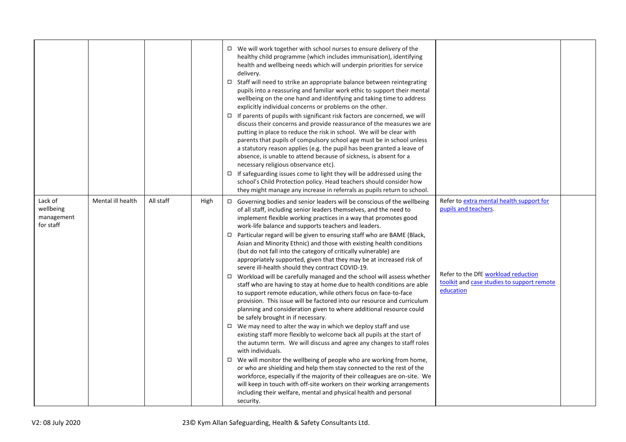|                                                 |                   |           |             | □ We will work together with school nurses to ensure delivery of the<br>healthy child programme (which includes immunisation), identifying<br>health and wellbeing needs which will underpin priorities for service<br>delivery.<br>□ Staff will need to strike an appropriate balance between reintegrating<br>pupils into a reassuring and familiar work ethic to support their mental<br>wellbeing on the one hand and identifying and taking time to address<br>explicitly individual concerns or problems on the other.<br>$\Box$ If parents of pupils with significant risk factors are concerned, we will<br>discuss their concerns and provide reassurance of the measures we are<br>putting in place to reduce the risk in school. We will be clear with<br>parents that pupils of compulsory school age must be in school unless<br>a statutory reason applies (e.g. the pupil has been granted a leave of<br>absence, is unable to attend because of sickness, is absent for a<br>necessary religious observance etc).<br>$\Box$ If safeguarding issues come to light they will be addressed using the<br>school's Child Protection policy. Head teachers should consider how<br>they might manage any increase in referrals as pupils return to school.                                                                                                                                                                                                                                                                                                                                                                                                                                    |                                                                                                                                                                    |  |
|-------------------------------------------------|-------------------|-----------|-------------|--------------------------------------------------------------------------------------------------------------------------------------------------------------------------------------------------------------------------------------------------------------------------------------------------------------------------------------------------------------------------------------------------------------------------------------------------------------------------------------------------------------------------------------------------------------------------------------------------------------------------------------------------------------------------------------------------------------------------------------------------------------------------------------------------------------------------------------------------------------------------------------------------------------------------------------------------------------------------------------------------------------------------------------------------------------------------------------------------------------------------------------------------------------------------------------------------------------------------------------------------------------------------------------------------------------------------------------------------------------------------------------------------------------------------------------------------------------------------------------------------------------------------------------------------------------------------------------------------------------------------------------------------------------------------------------------------------|--------------------------------------------------------------------------------------------------------------------------------------------------------------------|--|
| Lack of<br>wellbeing<br>management<br>for staff | Mental ill health | All staff | <b>High</b> | $\Box$ Governing bodies and senior leaders will be conscious of the wellbeing<br>of all staff, including senior leaders themselves, and the need to<br>implement flexible working practices in a way that promotes good<br>work-life balance and supports teachers and leaders.<br>□ Particular regard will be given to ensuring staff who are BAME (Black,<br>Asian and Minority Ethnic) and those with existing health conditions<br>(but do not fall into the category of critically vulnerable) are<br>appropriately supported, given that they may be at increased risk of<br>severe ill-health should they contract COVID-19.<br>$\Box$ Workload will be carefully managed and the school will assess whether<br>staff who are having to stay at home due to health conditions are able<br>to support remote education, while others focus on face-to-face<br>provision. This issue will be factored into our resource and curriculum<br>planning and consideration given to where additional resource could<br>be safely brought in if necessary.<br>$\Box$ We may need to alter the way in which we deploy staff and use<br>existing staff more flexibly to welcome back all pupils at the start of<br>the autumn term. We will discuss and agree any changes to staff roles<br>with individuals.<br>$\Box$ We will monitor the wellbeing of people who are working from home,<br>or who are shielding and help them stay connected to the rest of the<br>workforce, especially if the majority of their colleagues are on-site. We<br>will keep in touch with off-site workers on their working arrangements<br>including their welfare, mental and physical health and personal<br>security. | Refer to extra mental health support for<br>pupils and teachers.<br>Refer to the DfE workload reduction<br>toolkit and case studies to support remote<br>education |  |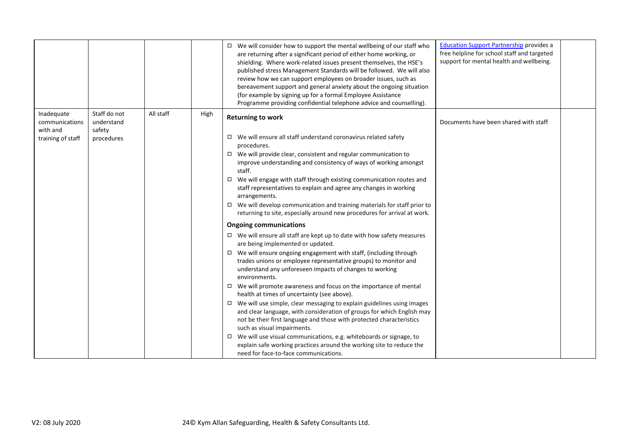|                                                               |                                                    |           |      | $\Box$ We will consider how to support the mental wellbeing of our staff who<br>are returning after a significant period of either home working, or<br>shielding. Where work-related issues present themselves, the HSE's<br>published stress Management Standards will be followed. We will also<br>review how we can support employees on broader issues, such as<br>bereavement support and general anxiety about the ongoing situation<br>(for example by signing up for a formal Employee Assistance<br>Programme providing confidential telephone advice and counselling).                                                                                                                                                                                                                                                                                                                                                                                                                                                                                                                                                                                                                    | <b>Education Support Partnership provides a</b><br>free helpline for school staff and targeted<br>support for mental health and wellbeing. |  |
|---------------------------------------------------------------|----------------------------------------------------|-----------|------|-----------------------------------------------------------------------------------------------------------------------------------------------------------------------------------------------------------------------------------------------------------------------------------------------------------------------------------------------------------------------------------------------------------------------------------------------------------------------------------------------------------------------------------------------------------------------------------------------------------------------------------------------------------------------------------------------------------------------------------------------------------------------------------------------------------------------------------------------------------------------------------------------------------------------------------------------------------------------------------------------------------------------------------------------------------------------------------------------------------------------------------------------------------------------------------------------------|--------------------------------------------------------------------------------------------------------------------------------------------|--|
| Inadequate<br>communications<br>with and<br>training of staff | Staff do not<br>understand<br>safety<br>procedures | All staff | High | <b>Returning to work</b><br>$\Box$ We will ensure all staff understand coronavirus related safety<br>procedures.<br>$\Box$ We will provide clear, consistent and regular communication to<br>improve understanding and consistency of ways of working amongst<br>staff.<br>$\Box$ We will engage with staff through existing communication routes and<br>staff representatives to explain and agree any changes in working<br>arrangements.<br>$\Box$ We will develop communication and training materials for staff prior to<br>returning to site, especially around new procedures for arrival at work.<br><b>Ongoing communications</b><br>$\Box$ We will ensure all staff are kept up to date with how safety measures<br>are being implemented or updated.<br>$\Box$ We will ensure ongoing engagement with staff, (including through<br>trades unions or employee representative groups) to monitor and<br>understand any unforeseen impacts of changes to working<br>environments.<br>$\Box$ We will promote awareness and focus on the importance of mental<br>health at times of uncertainty (see above).<br>$\Box$ We will use simple, clear messaging to explain guidelines using images | Documents have been shared with staff                                                                                                      |  |
|                                                               |                                                    |           |      | and clear language, with consideration of groups for which English may<br>not be their first language and those with protected characteristics<br>such as visual impairments.<br>$\Box$ We will use visual communications, e.g. whiteboards or signage, to<br>explain safe working practices around the working site to reduce the<br>need for face-to-face communications.                                                                                                                                                                                                                                                                                                                                                                                                                                                                                                                                                                                                                                                                                                                                                                                                                         |                                                                                                                                            |  |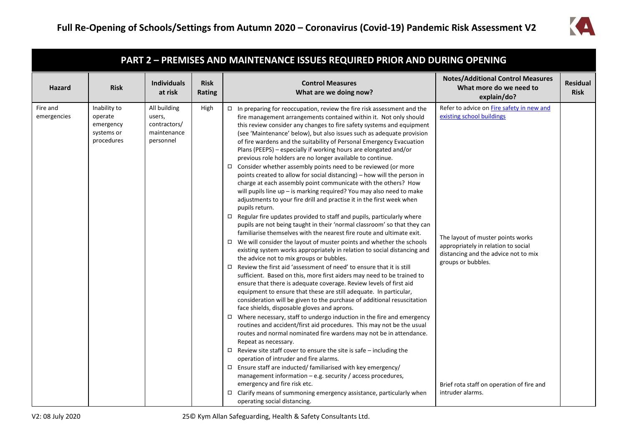

| PART 2 - PREMISES AND MAINTENANCE ISSUES REQUIRED PRIOR AND DURING OPENING |                                                                  |                                                                    |      |                                                                                                                                                                                                                                                                                                                                                                                                                                                                                                                                                                                                                                                                                                                                                                                                                                                                                                                                                                                                                                                                                                                                                                                                                                                                                                                                                                                                                                                                                                                                                                                                                                                                                                                                                                                                                                                                                                                                                                                                                                                                                                                                                                                                                                                                                                     |                                                                                                                                                                                                                  |                                |  |
|----------------------------------------------------------------------------|------------------------------------------------------------------|--------------------------------------------------------------------|------|-----------------------------------------------------------------------------------------------------------------------------------------------------------------------------------------------------------------------------------------------------------------------------------------------------------------------------------------------------------------------------------------------------------------------------------------------------------------------------------------------------------------------------------------------------------------------------------------------------------------------------------------------------------------------------------------------------------------------------------------------------------------------------------------------------------------------------------------------------------------------------------------------------------------------------------------------------------------------------------------------------------------------------------------------------------------------------------------------------------------------------------------------------------------------------------------------------------------------------------------------------------------------------------------------------------------------------------------------------------------------------------------------------------------------------------------------------------------------------------------------------------------------------------------------------------------------------------------------------------------------------------------------------------------------------------------------------------------------------------------------------------------------------------------------------------------------------------------------------------------------------------------------------------------------------------------------------------------------------------------------------------------------------------------------------------------------------------------------------------------------------------------------------------------------------------------------------------------------------------------------------------------------------------------------------|------------------------------------------------------------------------------------------------------------------------------------------------------------------------------------------------------------------|--------------------------------|--|
| <b>Risk</b><br><b>Hazard</b>                                               |                                                                  | <b>Individuals</b><br>at risk                                      |      | <b>Control Measures</b><br>What are we doing now?                                                                                                                                                                                                                                                                                                                                                                                                                                                                                                                                                                                                                                                                                                                                                                                                                                                                                                                                                                                                                                                                                                                                                                                                                                                                                                                                                                                                                                                                                                                                                                                                                                                                                                                                                                                                                                                                                                                                                                                                                                                                                                                                                                                                                                                   | <b>Notes/Additional Control Measures</b><br>What more do we need to<br>explain/do?                                                                                                                               | <b>Residual</b><br><b>Risk</b> |  |
| Fire and<br>emergencies                                                    | Inability to<br>operate<br>emergency<br>systems or<br>procedures | All building<br>users,<br>contractors/<br>maintenance<br>personnel | High | $\Box$ In preparing for reoccupation, review the fire risk assessment and the<br>fire management arrangements contained within it. Not only should<br>this review consider any changes to fire safety systems and equipment<br>(see 'Maintenance' below), but also issues such as adequate provision<br>of fire wardens and the suitability of Personal Emergency Evacuation<br>Plans (PEEPS) - especially if working hours are elongated and/or<br>previous role holders are no longer available to continue.<br>$\Box$ Consider whether assembly points need to be reviewed (or more<br>points created to allow for social distancing) - how will the person in<br>charge at each assembly point communicate with the others? How<br>will pupils line up - is marking required? You may also need to make<br>adjustments to your fire drill and practise it in the first week when<br>pupils return.<br>$\Box$ Regular fire updates provided to staff and pupils, particularly where<br>pupils are not being taught in their 'normal classroom' so that they can<br>familiarise themselves with the nearest fire route and ultimate exit.<br>$\Box$ We will consider the layout of muster points and whether the schools<br>existing system works appropriately in relation to social distancing and<br>the advice not to mix groups or bubbles.<br>$\Box$ Review the first aid 'assessment of need' to ensure that it is still<br>sufficient. Based on this, more first aiders may need to be trained to<br>ensure that there is adequate coverage. Review levels of first aid<br>equipment to ensure that these are still adequate. In particular,<br>consideration will be given to the purchase of additional resuscitation<br>face shields, disposable gloves and aprons.<br>$\Box$ Where necessary, staff to undergo induction in the fire and emergency<br>routines and accident/first aid procedures. This may not be the usual<br>routes and normal nominated fire wardens may not be in attendance.<br>Repeat as necessary.<br>$\Box$ Review site staff cover to ensure the site is safe - including the<br>operation of intruder and fire alarms.<br>$\Box$ Ensure staff are inducted/ familiarised with key emergency/<br>management information - e.g. security / access procedures, | Refer to advice on Fire safety in new and<br>existing school buildings<br>The layout of muster points works<br>appropriately in relation to social<br>distancing and the advice not to mix<br>groups or bubbles. |                                |  |
|                                                                            |                                                                  |                                                                    |      | emergency and fire risk etc.<br>$\Box$ Clarify means of summoning emergency assistance, particularly when<br>operating social distancing.                                                                                                                                                                                                                                                                                                                                                                                                                                                                                                                                                                                                                                                                                                                                                                                                                                                                                                                                                                                                                                                                                                                                                                                                                                                                                                                                                                                                                                                                                                                                                                                                                                                                                                                                                                                                                                                                                                                                                                                                                                                                                                                                                           | Brief rota staff on operation of fire and<br>intruder alarms.                                                                                                                                                    |                                |  |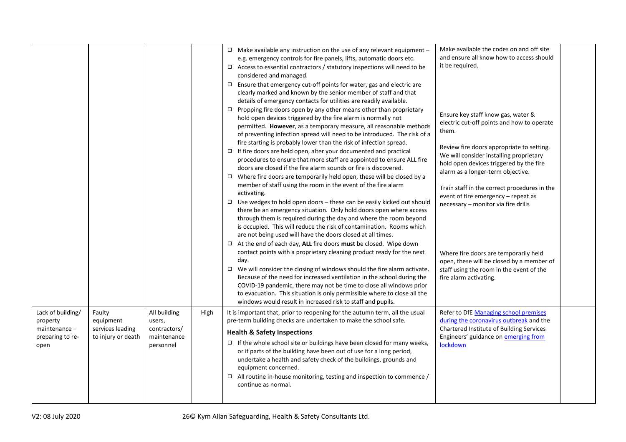|                                                                            |                                                               |                                                                    |      | $\Box$ Make available any instruction on the use of any relevant equipment -<br>e.g. emergency controls for fire panels, lifts, automatic doors etc.<br>$\Box$ Access to essential contractors / statutory inspections will need to be<br>considered and managed.<br>$\Box$ Ensure that emergency cut-off points for water, gas and electric are<br>clearly marked and known by the senior member of staff and that<br>details of emergency contacts for utilities are readily available.<br>$\Box$ Propping fire doors open by any other means other than proprietary | Make available the codes on and off site<br>and ensure all know how to access should<br>it be required.                                                                          |  |
|----------------------------------------------------------------------------|---------------------------------------------------------------|--------------------------------------------------------------------|------|------------------------------------------------------------------------------------------------------------------------------------------------------------------------------------------------------------------------------------------------------------------------------------------------------------------------------------------------------------------------------------------------------------------------------------------------------------------------------------------------------------------------------------------------------------------------|----------------------------------------------------------------------------------------------------------------------------------------------------------------------------------|--|
|                                                                            |                                                               |                                                                    |      | hold open devices triggered by the fire alarm is normally not<br>permitted. However, as a temporary measure, all reasonable methods<br>of preventing infection spread will need to be introduced. The risk of a<br>fire starting is probably lower than the risk of infection spread.                                                                                                                                                                                                                                                                                  | Ensure key staff know gas, water &<br>electric cut-off points and how to operate<br>them.<br>Review fire doors appropriate to setting.                                           |  |
|                                                                            |                                                               |                                                                    |      | $\Box$ If fire doors are held open, alter your documented and practical<br>procedures to ensure that more staff are appointed to ensure ALL fire<br>doors are closed if the fire alarm sounds or fire is discovered.<br>$\Box$ Where fire doors are temporarily held open, these will be closed by a<br>member of staff using the room in the event of the fire alarm                                                                                                                                                                                                  | We will consider installing proprietary<br>hold open devices triggered by the fire<br>alarm as a longer-term objective.                                                          |  |
|                                                                            |                                                               |                                                                    |      | activating.<br>□ Use wedges to hold open doors $-$ these can be easily kicked out should<br>there be an emergency situation. Only hold doors open where access<br>through them is required during the day and where the room beyond<br>is occupied. This will reduce the risk of contamination. Rooms which<br>are not being used will have the doors closed at all times.<br>$\Box$ At the end of each day, ALL fire doors must be closed. Wipe down                                                                                                                  | Train staff in the correct procedures in the<br>event of fire emergency - repeat as<br>necessary - monitor via fire drills                                                       |  |
|                                                                            |                                                               |                                                                    |      | contact points with a proprietary cleaning product ready for the next<br>day.<br>$\Box$ We will consider the closing of windows should the fire alarm activate.<br>Because of the need for increased ventilation in the school during the<br>COVID-19 pandemic, there may not be time to close all windows prior<br>to evacuation. This situation is only permissible where to close all the<br>windows would result in increased risk to staff and pupils.                                                                                                            | Where fire doors are temporarily held<br>open, these will be closed by a member of<br>staff using the room in the event of the<br>fire alarm activating.                         |  |
| Lack of building/<br>property<br>maintenance -<br>preparing to re-<br>open | Faulty<br>equipment<br>services leading<br>to injury or death | All building<br>users,<br>contractors/<br>maintenance<br>personnel | High | It is important that, prior to reopening for the autumn term, all the usual<br>pre-term building checks are undertaken to make the school safe.<br><b>Health &amp; Safety Inspections</b><br>$\Box$ If the whole school site or buildings have been closed for many weeks,<br>or if parts of the building have been out of use for a long period,<br>undertake a health and safety check of the buildings, grounds and<br>equipment concerned.<br>$\Box$ All routine in-house monitoring, testing and inspection to commence /<br>continue as normal.                  | Refer to DfE Managing school premises<br>during the coronavirus outbreak and the<br>Chartered Institute of Building Services<br>Engineers' guidance on emerging from<br>lockdown |  |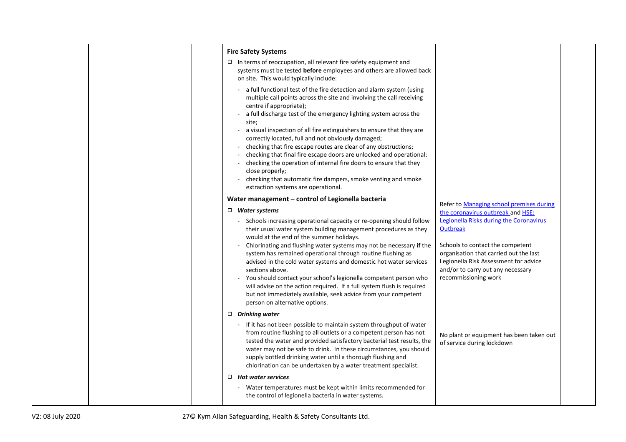| <b>Fire Safety Systems</b>                                                                                                                                                                                                                                                                                                                                                                                                                                                                                                                                                                                                                                                                                                        |                                                                                                                                                                                   |
|-----------------------------------------------------------------------------------------------------------------------------------------------------------------------------------------------------------------------------------------------------------------------------------------------------------------------------------------------------------------------------------------------------------------------------------------------------------------------------------------------------------------------------------------------------------------------------------------------------------------------------------------------------------------------------------------------------------------------------------|-----------------------------------------------------------------------------------------------------------------------------------------------------------------------------------|
| $\Box$ In terms of reoccupation, all relevant fire safety equipment and<br>systems must be tested before employees and others are allowed back<br>on site. This would typically include:                                                                                                                                                                                                                                                                                                                                                                                                                                                                                                                                          |                                                                                                                                                                                   |
| - a full functional test of the fire detection and alarm system (using<br>multiple call points across the site and involving the call receiving<br>centre if appropriate);<br>a full discharge test of the emergency lighting system across the<br>site;<br>a visual inspection of all fire extinguishers to ensure that they are<br>correctly located, full and not obviously damaged;<br>checking that fire escape routes are clear of any obstructions;<br>checking that final fire escape doors are unlocked and operational;<br>checking the operation of internal fire doors to ensure that they<br>close properly;<br>checking that automatic fire dampers, smoke venting and smoke<br>extraction systems are operational. |                                                                                                                                                                                   |
| Water management - control of Legionella bacteria                                                                                                                                                                                                                                                                                                                                                                                                                                                                                                                                                                                                                                                                                 |                                                                                                                                                                                   |
| $\Box$ Water systems                                                                                                                                                                                                                                                                                                                                                                                                                                                                                                                                                                                                                                                                                                              | Refer to Managing school premises during<br>the coronavirus outbreak and HSE:                                                                                                     |
| - Schools increasing operational capacity or re-opening should follow<br>their usual water system building management procedures as they<br>would at the end of the summer holidays.<br>Chlorinating and flushing water systems may not be necessary if the<br>system has remained operational through routine flushing as<br>advised in the cold water systems and domestic hot water services                                                                                                                                                                                                                                                                                                                                   | Legionella Risks during the Coronavirus<br><b>Outbreak</b><br>Schools to contact the competent<br>organisation that carried out the last<br>Legionella Risk Assessment for advice |
| sections above.<br>You should contact your school's legionella competent person who<br>will advise on the action required. If a full system flush is required<br>but not immediately available, seek advice from your competent<br>person on alternative options.                                                                                                                                                                                                                                                                                                                                                                                                                                                                 | and/or to carry out any necessary<br>recommissioning work                                                                                                                         |
| $\Box$ Drinking water                                                                                                                                                                                                                                                                                                                                                                                                                                                                                                                                                                                                                                                                                                             |                                                                                                                                                                                   |
| - If it has not been possible to maintain system throughput of water<br>from routine flushing to all outlets or a competent person has not<br>tested the water and provided satisfactory bacterial test results, the<br>water may not be safe to drink. In these circumstances, you should<br>supply bottled drinking water until a thorough flushing and<br>chlorination can be undertaken by a water treatment specialist.                                                                                                                                                                                                                                                                                                      | No plant or equipment has been taken out<br>of service during lockdown                                                                                                            |
| $\Box$ Hot water services                                                                                                                                                                                                                                                                                                                                                                                                                                                                                                                                                                                                                                                                                                         |                                                                                                                                                                                   |
| - Water temperatures must be kept within limits recommended for<br>the control of legionella bacteria in water systems.                                                                                                                                                                                                                                                                                                                                                                                                                                                                                                                                                                                                           |                                                                                                                                                                                   |
|                                                                                                                                                                                                                                                                                                                                                                                                                                                                                                                                                                                                                                                                                                                                   |                                                                                                                                                                                   |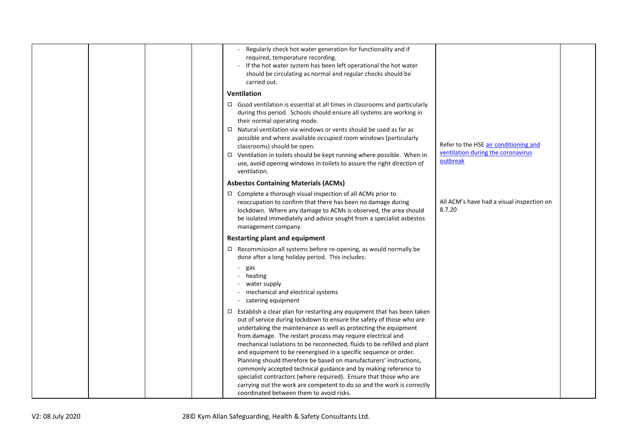| Regularly check hot water generation for functionality and if<br>required, temperature recording.<br>If the hot water system has been left operational the hot water<br>should be circulating as normal and regular checks should be<br>carried out.                                                                                                                                                                                                                                                                                                                                                                                                                                                                                                                          |                                                                                         |
|-------------------------------------------------------------------------------------------------------------------------------------------------------------------------------------------------------------------------------------------------------------------------------------------------------------------------------------------------------------------------------------------------------------------------------------------------------------------------------------------------------------------------------------------------------------------------------------------------------------------------------------------------------------------------------------------------------------------------------------------------------------------------------|-----------------------------------------------------------------------------------------|
| <b>Ventilation</b>                                                                                                                                                                                                                                                                                                                                                                                                                                                                                                                                                                                                                                                                                                                                                            |                                                                                         |
| $\Box$ Good ventilation is essential at all times in classrooms and particularly<br>during this period. Schools should ensure all systems are working in<br>their normal operating mode.<br>$\Box$ Natural ventilation via windows or vents should be used as far as<br>possible and where available occupied room windows (particularly<br>classrooms) should be open.<br>□ Ventilation in toilets should be kept running where possible. When in<br>use, avoid opening windows in toilets to assure the right direction of<br>ventilation.                                                                                                                                                                                                                                  | Refer to the HSE air conditioning and<br>ventilation during the coronavirus<br>outbreak |
| <b>Asbestos Containing Materials (ACMs)</b>                                                                                                                                                                                                                                                                                                                                                                                                                                                                                                                                                                                                                                                                                                                                   |                                                                                         |
| $\Box$ Complete a thorough visual inspection of all ACMs prior to<br>reoccupation to confirm that there has been no damage during<br>lockdown. Where any damage to ACMs is observed, the area should<br>be isolated immediately and advice sought from a specialist asbestos<br>management company.                                                                                                                                                                                                                                                                                                                                                                                                                                                                           | All ACM's have had a visual inspection on<br>8.7.20                                     |
| <b>Restarting plant and equipment</b>                                                                                                                                                                                                                                                                                                                                                                                                                                                                                                                                                                                                                                                                                                                                         |                                                                                         |
| $\Box$ Recommission all systems before re-opening, as would normally be<br>done after a long holiday period. This includes:                                                                                                                                                                                                                                                                                                                                                                                                                                                                                                                                                                                                                                                   |                                                                                         |
| $\overline{\phantom{a}}$<br>gas<br>heating<br>$\sim$<br>water supply<br>mechanical and electrical systems<br>catering equipment                                                                                                                                                                                                                                                                                                                                                                                                                                                                                                                                                                                                                                               |                                                                                         |
| $\Box$ Establish a clear plan for restarting any equipment that has been taken<br>out of service during lockdown to ensure the safety of those who are<br>undertaking the maintenance as well as protecting the equipment<br>from damage. The restart process may require electrical and<br>mechanical isolations to be reconnected, fluids to be refilled and plant<br>and equipment to be reenergised in a specific sequence or order.<br>Planning should therefore be based on manufacturers' instructions,<br>commonly accepted technical guidance and by making reference to<br>specialist contractors (where required). Ensure that those who are<br>carrying out the work are competent to do so and the work is correctly<br>coordinated between them to avoid risks. |                                                                                         |